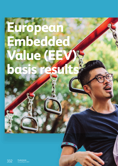# <span id="page-0-0"></span>**European Embedded Value (EE) basis re**

332 **Prudential plc**  Annual Report 2021 prudentialplc.com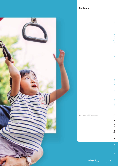# **Contents**



Group overview **Group overview**

Prudential plc **333**<br>Annual Report 2021 333

334 Index to EEV basis results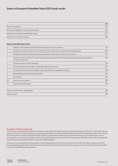# **Index to European Embedded Value (EEV) basis results**

|                                                  | Page |
|--------------------------------------------------|------|
| Basis of preparation                             | 335  |
| EEV results highlights for continuing operations | 336  |
| Movement in Group EEV shareholders' equity       | 337  |
| Movement in Group free surplus                   | 339  |

### **Notes on the EEV basis results**

|    | Analysis of new business profit and EEV for long-term business operations                                                                       | 341 |
|----|-------------------------------------------------------------------------------------------------------------------------------------------------|-----|
| 2  | Analysis of movement in net worth and value of in-force business for long-term business operations                                              | 342 |
| 3  | Sensitivity of results for long-term business operations to alternative economic assumptions                                                    | 343 |
| 4  | Expected transfer of value of in-force business and required capital to free surplus for long-term business operations<br>on a discounted basis | 345 |
| 5  | EEV basis results for other operations                                                                                                          | 346 |
| 6  | Net core structural borrowings of shareholder-financed businesses                                                                               | 347 |
| 7  | Comparison of EEV basis shareholders' equity with IFRS basis shareholders' equity                                                               | 348 |
| 8  | Methodology and accounting presentation                                                                                                         | 349 |
| 9  | Assumptions                                                                                                                                     | 353 |
| 10 | Insurance new business                                                                                                                          | 355 |
| 11 | Post balance sheet events                                                                                                                       | 355 |
|    | Statement of Directors' responsibilities                                                                                                        | 356 |
|    | Auditor's report                                                                                                                                | 357 |

### **Description of EEV basis reporting**

The EEV basis results have been prepared in accordance with the EEV Principles issued by the European Insurance CFO Forum in 2016. All results are stated net of tax and converted using actual exchange rates (AER) unless otherwise stated. AER are actual historical exchange rates for the relevant accounting period. Constant exchange rate (CER) results are calculated by translating prior period results using current period foreign currency exchange rates, ie current period average rates for the income statement and current period closing rates for the balance sheet. Where appropriate, the EEV basis results include the effects of adoption of IFRS Standards.

The Directors are responsible for the preparation of the supplementary information in accordance with the EEV Principles. In preparing the EEV basis supplementary information, the Directors have satisfied themselves that the Group remains a going concern. Further information is provided in note A1 of the IFRS financial statements.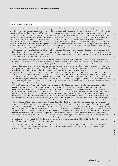# **Basis of preparation**

IFRS profit for long-term business broadly reflects the aggregate of results on a traditional accounting basis. By contrast, EEV is a way of measuring the value of the in-force life insurance business. The value of future new business is excluded from the embedded value. The EEV Principles provide consistent definitions of the components of EEV, a framework for setting assumptions and an approach to the underlying methodology and disclosures. The EEV principles were designed to provide guidance and common principles that could be understood by both users and preparers alongside prescribing a minimum level of disclosures to enable users to understand an entity's methodology, assumptions and key judgments as well as the sensitivity of an entity's EEV to key assumptions. Results prepared under the EEV Principles represent the present value of the shareholders' interest in the post-tax future profits (on a local statutory basis) expected to arise from the current book of long-term business, after sufficient allowance has been made for the aggregate risks in the business. The shareholders' interest in the Group's long-term business is the sum of the shareholders' total net worth and the value of in-force business. The Group's EEV has been prepared in accordance with the relevant regulatory regimes in place at 31 December 2021. It does not anticipate proposed future changes to these regimes.

For the purposes of preparing EEV basis results, insurance joint ventures and associates are included at the Group's proportionate share of their embedded value and not at their market value. Asset management and other non-insurance subsidiaries, joint ventures and associates are included in the EEV basis results at the Group's proportionate share of IFRS basis shareholders' equity, with central Group debt shown on a market value basis. Key features of the Group's EEV methodology include:

- > *Economic assumptions:* The projected post-tax profits assume a level of future investment return and are discounted using a risk discount rate. Both the risk discount rate and the investment return assumptions are updated at each valuation date to reflect current market risk-free rates, such that changes in market risk-free rates impact all projected future cash flows. Risk-free rates, and hence investment return assumptions, are based on observable market data, with current market risk-free rates assumed to remain constant throughout the projection, with no trending or mean reversion to longer-term assumptions. Different products will be sensitive to different assumptions, for example, participating products or products with guarantees are likely to benefit disproportionately from higher assumed investment returns.
- **>** *Time value of financial options and guarantees*: Explicit quantified allowances are made for the time value of financial options and guarantees (TVOG). The TVOG is determined by weighting the probability of outcomes across a large number of different economic scenarios and is typically less applicable to health and protection business that generally contains more limited financial options or guarantees. At 31 December 2021, the TVOG for continuing operations is \$(784) million (31 December 2020: \$(1,912) million). The magnitude of the TVOG at 31 December 2021 would be approximately equivalent to a 10 basis point (2020: 30 basis point) increase in the weighted average risk discount rate which has increased 70 basis points since 31 December 2020.
- **>** *Allowance for risk in the risk discount rates:* Risk discount rates are set equal to the risk-free rate at the valuation date plus product-specific allowances for market and non-market risks. Risks that are explicitly captured elsewhere, such as via the TVOG, are not included in the risk discount rates. The allowance for market risk is based on a product-by-product assessment of the sensitivity of shareholder cash flows to varying market returns. This approach reflects the inherent market risk in each product group and results in lower risk discount rates for products where the majority of shareholder profit is uncorrelated to market risk and appropriately higher risk discount rates for products where there is greater market exposure for shareholders. For example, for health and protection products, which represent about 61 per cent of the value of in-force business and 54 per cent of new business profit, the major sources of shareholder profits are underwriting profits or fixed shareholder charges which have very low market risk sensitivity. The construct of UK-style with-profits funds in some business units (representing 19 per cent of the value of in-force and 15 per cent of new business profit) reduce the market volatility of both policyholder and shareholder cash flows due to smoothed bonus declarations and for some markets the presence of an estate. Accordingly, 80 per cent of the value of in-force is products with low market risk sensitivity and this is reflected in the overall risk discount rate. For unit-linked products where fund management charges fluctuate with the investment return a portion of the profits will typically be more sensitive to market risk due to the higher proportion of equity-type assets in the investment portfolio resulting in a higher risk discount rate, this business represents 17 per cent of the value of in-force and 15 per cent of the value of new business profit which limits the impact on the overall risk discount rate. The remaining parts of the business (3 per cent of the value in-force and 16 per cent of the value of new business) relate to non-participating products not covered by the above. The allowance for non-market risk comprises a base Group-wide allowance of 50 basis points plus additional allowances for emerging market risk where appropriate. At 31 December 2021, the total allowance for non-market risk is equivalent to a \$(3.7) billion (2020: \$(3.2) billion) reduction, or around (8) per cent (2020: (7) per cent) of the embedded value.

Post the demerger of the Group's US operations, Jackson Financial Inc. (Jackson), in September 2021, the Group's retained interest in Jackson has been included at its fair value within other (central) operations. This is equivalent to its value within the Group's IFRS financial statements. Further information is contained in note 5.

statem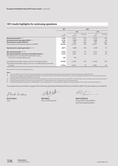# **EEV results highlights for continuing operations**

|                                                                                                                                                                                                       | 2021                            |                                  | 2020                        |                                  |                            |
|-------------------------------------------------------------------------------------------------------------------------------------------------------------------------------------------------------|---------------------------------|----------------------------------|-----------------------------|----------------------------------|----------------------------|
|                                                                                                                                                                                                       |                                 | <b>AER</b>                       |                             | <b>CER</b>                       |                            |
|                                                                                                                                                                                                       | $\mathsf{Sm}$<br>note (ii)      | $\mathsf{S}$ m<br>note (i)       | % change                    | $\mathsf{Sm}$<br>note (i)        | % change                   |
| New business profit note (v)<br>Annual premium equivalent (APE) <sup>note (v)</sup><br>New business margin (APE) (%)<br>Present value of new business premiums (PVNBP)                                | 2,526<br>4,194<br>60%<br>24,153 | 2,201<br>3,808*<br>58%<br>21,587 | 15%<br>10%<br>$+2pp$<br>12% | 2.240<br>3,890*<br>58%<br>22,041 | 13%<br>8%<br>$+2pp$<br>10% |
| <b>Operating free surplus generated notes (iii)(v)</b>                                                                                                                                                | 2,071                           | 1,888*                           | 10%                         | 1,928*                           | 7%                         |
| <b>EEV operating profit notes (iv) (v)</b><br>EEV operating profit, net of non-controlling interests<br>Operating return on average EEV shareholders' equity,<br>net of non-controlling interests (%) | 3,543<br>3,515<br>8%            | 3.401<br>3,391<br>8%             | 4%<br>4%                    | 3,444<br>3,434                   | 3%<br>2%                   |
| Closing EEV shareholders' equity, net of non-controlling interests<br>Closing EEV shareholders' equity, net of non-controlling interests per share<br>(in cents)                                      | 47,355<br>1,725¢                | 41,926<br>$1,607$ ¢              | 13%<br>7%                   | 41,350<br>1,585¢                 | 15%<br>9%                  |

\* Re-presented to include amounts relating to Africa.

### **Notes**

(i) The results above are for the Group's continuing operations only, excluding results from the discontinued US operations which were demerged in September 2021. The Group has changed its operating segments from 2021, as discussed in note B1.3 of the IFRS financial statements, with Africa operations included in long-term business. New business profit for full year 2020 exclude contributions from Africa.

(iii) Operating free surplus generated is for long-term and asset management businesses only, before restructuring and IFRS 17 implementation costs, centrally incurred costs and eliminations. (iv) Group EEV operating profit is stated after restructuring and IFRS 17 implementation costs, centrally incurred costs and eliminations.

(v) Presented before deducting the amounts attributable to non-controlling interests. This presentation is applied consistently throughout this document, unless stated otherwise.

The supplementary information on pages 335 to 355 were approved by the Board of Directors on 8 March 2022. They were signed on its behalf by:

Shut Video

**Shriti Vadera** Chair

**Mike Wells** Group Chief Executive

What I

**Mark FitzPatrick** Group Chief Financial Officer and Chief Operating Officer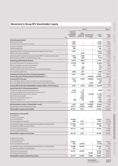# **Movement in Group EEV shareholders' equity**

| Movement in Group EEV shareholders' equity                                                                                                                                                                                                                                                                                                                                                    |                                   |                                                                                     |                                                                         |                                                                                |                                                    |                                      |
|-----------------------------------------------------------------------------------------------------------------------------------------------------------------------------------------------------------------------------------------------------------------------------------------------------------------------------------------------------------------------------------------------|-----------------------------------|-------------------------------------------------------------------------------------|-------------------------------------------------------------------------|--------------------------------------------------------------------------------|----------------------------------------------------|--------------------------------------|
|                                                                                                                                                                                                                                                                                                                                                                                               |                                   |                                                                                     |                                                                         | 2021 \$m                                                                       |                                                    | 2020 \$m                             |
|                                                                                                                                                                                                                                                                                                                                                                                               | Note                              | Insurance<br>and asset<br>management<br>operations                                  | Other<br>(central)                                                      | Discontinued<br>operations US operations<br>note (i)                           | Group<br>total                                     | Group<br>total<br>note (i)           |
| <b>Continuing operations:</b><br>New business profit<br>Profit from in-force long-term business                                                                                                                                                                                                                                                                                               | $\mathbf{1}$<br>$\sqrt{2}$        | 2,526<br>1,630                                                                      |                                                                         | $\overline{\phantom{0}}$                                                       | 2,526<br>1,630                                     | 2,201<br>1,926                       |
| Long-term business<br>Asset management                                                                                                                                                                                                                                                                                                                                                        |                                   | 4,156<br>284                                                                        | -                                                                       | $\overline{\phantom{0}}$<br>-                                                  | 4,156<br>284                                       | 4,127<br>253                         |
| Operating profit from long-term and asset management businesses<br>Other income and expenditure                                                                                                                                                                                                                                                                                               | 5                                 | 4,440                                                                               | (723)                                                                   | $\qquad \qquad \blacksquare$<br>-                                              | 4,440<br>(723)                                     | 4,380<br>(826)                       |
| Operating profit (loss) before restructuring and IFRS 17 implementation costs<br>Restructuring and IFRS 17 implementation costs                                                                                                                                                                                                                                                               |                                   | 4,440<br>(90)                                                                       | (723)<br>(84)                                                           | $\overline{\phantom{0}}$<br>-                                                  | 3,717<br>(174)                                     | 3,554<br>(153)                       |
| Operating profit (loss) for the year                                                                                                                                                                                                                                                                                                                                                          |                                   | 4,350                                                                               | (807)                                                                   | $\overline{\phantom{a}}$                                                       | 3,543                                              | 3,401                                |
| Short-term fluctuations in investment returns<br>Effect of changes in economic assumptions<br>Loss attaching to corporate transactions<br>Mark-to-market value movements on core structural borrowings                                                                                                                                                                                        | $\sqrt{2}$<br>$\overline{2}$<br>6 | (1,015)<br>412                                                                      | (25)<br>$\overline{\phantom{0}}$<br>(35)<br>357                         | $\overline{\phantom{0}}$<br>-                                                  | (1,040)<br>412<br>(35)<br>357                      | 1,937<br>(996)<br>(121)<br>(247)     |
| Non-operating profit (loss)                                                                                                                                                                                                                                                                                                                                                                   |                                   | (603)                                                                               | 297                                                                     | $\overline{\phantom{0}}$                                                       | (306)                                              | 573                                  |
| Profit (loss) for the year from continuing operations<br>Loss for the year from discontinued US operations note (i)                                                                                                                                                                                                                                                                           |                                   | 3,747                                                                               | (510)<br>-                                                              | $\qquad \qquad -$<br>(10, 852)                                                 | 3,237<br>(10, 852)                                 | 3,974<br>(3,941)                     |
| (Loss) profit for the year<br>Non-controlling interests share of profit from continuing operations<br>Non-controlling interests share of loss from discontinued US operations                                                                                                                                                                                                                 |                                   | 3,747<br>(40)<br>$\qquad \qquad \blacksquare$                                       | (510)<br>-<br>$\overline{\phantom{0}}$                                  | (10, 852)<br>1,205                                                             | (7,615)<br>(40)<br>1,205                           | 33<br>(10)<br>130                    |
| (Loss) profit for the year attributable to equity holders of the Company                                                                                                                                                                                                                                                                                                                      |                                   | 3,707                                                                               | (510)                                                                   | (9,647)                                                                        | (6,450)                                            | 153                                  |
| Equity items from continuing operations:<br>Foreign exchange movements on operations<br>Intra-group dividends and investment in operations note (ii)<br>Demerger dividend in specie from Jackson<br>Other external dividends<br>New share capital subscribed note (iii)<br>Other movements note (iv)<br>Equity items from discontinued US operations net of non-controlling interest note (v) | 5                                 | (513)<br>(1, 312)<br>۰<br>$\qquad \qquad \blacksquare$<br>(85)<br>$\qquad \qquad -$ | 53<br>1,312<br>493<br>(421)<br>2,382<br>323<br>$\overline{\phantom{0}}$ | (2, 228)<br>$\overline{\phantom{0}}$<br>-<br>$\overline{\phantom{0}}$<br>(206) | (460)<br>(1,735)<br>(421)<br>2,382<br>238<br>(206) | 563<br>(814)<br>13<br>(169)<br>(450) |
| Net (decrease) increase in shareholders' equity<br>Shareholders' equity at beginning of year                                                                                                                                                                                                                                                                                                  |                                   | 1,797<br>44,317                                                                     | 3,632<br>(2, 391)                                                       | (12,081)<br>12,081                                                             | (6,652)<br>54,007                                  | (704)<br>54,711                      |
| Shareholders' equity at end of year                                                                                                                                                                                                                                                                                                                                                           |                                   | 46,114                                                                              | 1,241                                                                   | $\qquad \qquad$                                                                | 47,355                                             | 54.007                               |
| <b>Contribution to Group EEV:</b><br>At end of year:<br>Continuing operations:<br>Long-term business<br>Asset management and other                                                                                                                                                                                                                                                            | $\overline{2}$<br>5               | 44,646<br>690                                                                       | 1,241                                                                   | $\overline{\phantom{0}}$                                                       | 44,646<br>1,931                                    | 42,861<br>(1,756)                    |
| Shareholders' equity, excluding goodwill attributable to equity holders<br>Goodwill attributable to equity holders                                                                                                                                                                                                                                                                            |                                   | 45,336<br>778                                                                       | 1,241                                                                   | $\overline{\phantom{a}}$<br>-                                                  | 46,577<br>778                                      | 41,105<br>821                        |
| Total continuing operations<br>Discontinued US operations                                                                                                                                                                                                                                                                                                                                     |                                   | 46,114                                                                              | 1,241                                                                   | $\qquad \qquad \blacksquare$<br>-                                              | 47,355<br>-                                        | 41,926<br>12,081                     |
| Shareholders' equity at end of year                                                                                                                                                                                                                                                                                                                                                           | $\overline{7}$                    | 46,114                                                                              | 1,241                                                                   | $\qquad \qquad \blacksquare$                                                   | 47,355                                             | 54,007                               |
| At beginning of year:<br>Continuing operations:<br>Long-term business<br>Asset management and other                                                                                                                                                                                                                                                                                           | $\overline{2}$<br>5               | 42,861<br>635                                                                       | (2, 391)                                                                | $\qquad \qquad \blacksquare$<br>-                                              | 42,861<br>(1,756)                                  | 37,902<br>(355)                      |
| Shareholders' equity, excluding goodwill attributable to equity holders<br>Goodwill attributable to equity holders                                                                                                                                                                                                                                                                            |                                   | 43,496<br>821                                                                       | (2, 391)                                                                | $\qquad \qquad -$<br>-                                                         | 41,105<br>821                                      | 37,547<br>822                        |
| Total continuing operations<br>Discontinued US operations                                                                                                                                                                                                                                                                                                                                     |                                   | 44,317<br>-                                                                         | (2, 391)<br>-                                                           | $\qquad \qquad \blacksquare$<br>12,081                                         | 41,926<br>12,081                                   | 38,369<br>16,342                     |
| Shareholders' equity at beginning of year                                                                                                                                                                                                                                                                                                                                                     | $\overline{7}$                    | 44,317                                                                              | (2, 391)                                                                | 12,081                                                                         | 54,007                                             | 54,711                               |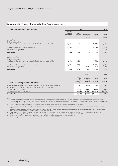# **Movement in Group EEV shareholders' equity** continued

| EEV shareholders' equity per share (in cents) note (vi)                       |                                                    | 2020               |                                                             |                |                            |
|-------------------------------------------------------------------------------|----------------------------------------------------|--------------------|-------------------------------------------------------------|----------------|----------------------------|
|                                                                               | Insurance<br>and asset<br>management<br>operations | Other<br>(central) | <b>Discontinued</b><br>operations US operations<br>note (i) | Group<br>total | Group<br>total<br>note (i) |
| At end of year:                                                               |                                                    |                    |                                                             |                |                            |
| Continuing operations:                                                        |                                                    |                    |                                                             |                |                            |
| Based on shareholders' equity, net of goodwill attributable to equity holders | $1,651$ ¢                                          | 45¢                |                                                             | 1,696¢         | 1,5760                     |
| Based on shareholders' equity at end of year                                  | 1,680¢                                             | 45¢                |                                                             | $1,725$ ¢      | $1,607$ ¢                  |
| Discontinued US operations                                                    |                                                    |                    |                                                             |                | 463 <sub>¢</sub>           |
| <b>Group total</b>                                                            | 1,680¢                                             | 45¢                | -                                                           | $1,725$ ¢      | 2,070¢                     |
| At beginning of year:                                                         |                                                    |                    |                                                             |                |                            |
| Continuing operations:                                                        |                                                    |                    |                                                             |                |                            |
| Based on shareholders' equity, net of goodwill attributable to equity holders | 1,668¢                                             | $(92)$ ¢           |                                                             | 1,576¢         | 1,4440                     |
| Based on shareholders' equity at beginning of year                            | 1,699¢                                             | $(92)$ ¢           |                                                             | 1,607¢         | $1,475$ ¢                  |
| Discontinued US operations                                                    |                                                    |                    | 463¢                                                        | 463¢           | 628 <sub>0</sub>           |
| Group total                                                                   | 1,699¢                                             | $(92)$ ¢           | 463¢                                                        | 2,070¢         | $2,103$ ¢                  |
|                                                                               |                                                    |                    |                                                             |                |                            |
|                                                                               |                                                    |                    | 2021                                                        |                | 2020                       |

| <b>EEV basis basic earnings per share in cents note (vii)</b>                        | <b>Before</b><br>non-<br>controlling<br>interests<br>$\mathsf{Sm}$ | After non-<br>controlling<br>interests<br>$\mathsf{Sm}$ | <b>Basic</b><br>earnings<br>per share<br>cents | <b>Basic</b><br>earnings<br>per share<br>cents |
|--------------------------------------------------------------------------------------|--------------------------------------------------------------------|---------------------------------------------------------|------------------------------------------------|------------------------------------------------|
| Based on operating profit from continuing operations after non-controlling interests | 3.543                                                              | 3.515                                                   | 133.8¢                                         | 130.6¢                                         |
| Based on profit for the year attributable to equity holders of the Company:          |                                                                    |                                                         |                                                |                                                |
| From continuing operations                                                           | 3.237                                                              | 3.197                                                   | 121.7 <sub>0</sub>                             | 152.6¢                                         |
| From discontinued US operations                                                      | (10, 852)                                                          | (9,647)                                                 | $(367.1)$ ¢                                    | $(146.7)$ <sup><math>\text{C}</math></sup>     |
| <b>Group total</b>                                                                   | (7,615)                                                            | (6,450)                                                 | $(245.4)$ d                                    | 5.9 <sub>0</sub>                               |

**Notes**

(i) Discontinued operations represent the Group's US business, Jackson, which was demerged in September 2021. The 2020 comparative results have been re-presented to show these operations as discontinued accordingly. The retained interest in Jackson is measured for EEV purposes at fair value, consistent with IFRS, and is included in other (central) operations post the demerger. Further information is provided in note 5.

(ii) Intra-group dividends represent dividends that have been declared in the year. Investment in operations reflects movements in share capital.

(iii) New share capital subscribed primarily represents the issuance of new ordinary shares on the Hong Kong Stock Exchange in October 2021 as described in note C8 of the IFRS financial statements.

(iv) Other movements include reserve movements in respect of valuation movements on the retained interest in Jackson, share-based payments, treasury shares and intra-group transfers between operations that have no overall effect on the Group's shareholders' equity.

(v) Equity items from discontinued US operations include mark-to-market value movements on assets backing net worth of \$(206) million for 2021 (2020: \$552 million). In addition,

2020 included a charge of \$(1,112) million relating to the day one impact of the equity investment by Athene into the US business in July 2020.

(vi) Based on the number of issued shares at 31 December 2021 of 2,746 million shares (31 December 2020: 2,609 million shares).

(vii) Based on weighted average number of issued shares of 2,628 million shares in 2021 (2020: 2,597 million shares).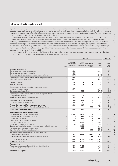# **Movement in Group free surplus**

Operating free surplus generation is the financial metric we use to measure the internal cash generation of our business operations and for our life operations is generally based on (with adjustments) the capital regimes that apply locally in the various jurisdictions in which the Group operates. It represents amounts emerging from the in-force business during the year, net of amounts reinvested in writing new business. For asset management businesses, it equates to post-tax adjusted operating profit for the year.

For long-term business, free surplus is generally based on (with adjustments) the excess of the regulatory basis net assets for EEV reporting purposes (total net worth) over the capital required to support the covered business. In general, assets deemed to be inadmissible on a local regulatory basis are included in total net worth where considered recognisable on an EEV basis. For asset management and other non-insurance operations (including the Group's central operations), free surplus is taken to be IFRS basis shareholders' equity, net of goodwill attributable to shareholders, with central Group debt recorded as free surplus to the extent that it is classified as capital resources under the Group's capital regime. Following the application of the Group-wide Supervision (GWS) Framework, both subordinated and senior debt are treated as capital for the purposes of free surplus at 31 December 2021.

A reconciliation of EEV free surplus to the GWS shareholder capital surplus over group minimum capital requirements is set out in note I(i) of the additional financial information. Further information is provided in note 5 and note 6.

|                                                                                                           |                                  |                                                           | 2021 \$m                       |                                                      |                |                            |
|-----------------------------------------------------------------------------------------------------------|----------------------------------|-----------------------------------------------------------|--------------------------------|------------------------------------------------------|----------------|----------------------------|
|                                                                                                           | Note                             | <b>Insurance</b><br>and asset<br>management<br>operations | Other<br>(central)             | Discontinued<br>operations US operations<br>note (i) | Group<br>total | Group<br>total<br>note (i) |
| <b>Continuing operations:</b>                                                                             |                                  |                                                           |                                |                                                      |                |                            |
| Expected transfer from in-force business                                                                  |                                  | 2,340                                                     |                                | -                                                    | 2,340          | 1,878                      |
| Expected return on existing free surplus                                                                  |                                  | 157                                                       | L,                             | $\qquad \qquad -$                                    | 157            | 101                        |
| Changes in operating assumptions and experience variances                                                 |                                  | (173)                                                     | -                              | ۰                                                    | (173)          | 215                        |
| Operating free surplus generated from in-force long-term business<br>Investment in new business note (ii) | $\overline{2}$<br>$\overline{2}$ | 2,324<br>(537)                                            | $\overline{\phantom{0}}$<br>L. | $\overline{\phantom{0}}$<br>$\overline{\phantom{0}}$ | 2,324<br>(537) | 2.194<br>(559)             |
| Long-term business                                                                                        |                                  | 1,787                                                     | ۳                              | $\overline{\phantom{0}}$                             | 1,787          | 1,635                      |
| Asset management                                                                                          |                                  | 284                                                       | -                              | $\overline{\phantom{0}}$                             | 284            | 253                        |
| Operating free surplus generated from long-term and asset                                                 |                                  |                                                           |                                |                                                      |                |                            |
| management businesses                                                                                     |                                  | 2,071                                                     |                                | $\qquad \qquad -$                                    | 2,071          | 1,888                      |
| Other income and expenditure                                                                              | 5                                | $\overline{\phantom{0}}$                                  | (723)                          | -                                                    | (723)          | (826)                      |
| Operating free surplus generated before restructuring and IFRS 17                                         |                                  |                                                           |                                |                                                      |                |                            |
| implementation costs                                                                                      |                                  | 2,071                                                     | (723)                          |                                                      | 1,348          | 1,062                      |
| Restructuring and IFRS 17 implementation costs                                                            |                                  | (85)                                                      | (84)                           | $\overline{\phantom{0}}$                             | (169)          | (147)                      |
| Operating free surplus generated                                                                          |                                  | 1,986                                                     | (807)                          | -                                                    | 1,179          | 915                        |
| Non-operating free surplus generated note (iii)                                                           |                                  | 142                                                       | (60)                           | $\qquad \qquad -$                                    | 82             | 316                        |
| Free surplus generated from continuing operations                                                         |                                  | 2,128                                                     | (867)                          | $\qquad \qquad -$                                    | 1,261          | 1.231                      |
| Free surplus generated from discontinued US operations note (i)                                           |                                  |                                                           |                                | 770                                                  | 770            | (998)                      |
| Free surplus generated for the year                                                                       |                                  | 2,128                                                     | (867)                          | 770                                                  | 2,031          | 233                        |
| Equity items from continuing operations:                                                                  |                                  |                                                           |                                |                                                      |                |                            |
| Net cash flows paid to parent company note (iv)                                                           |                                  | (1,451)                                                   | 1,451                          |                                                      |                |                            |
| Demerger dividend in specie from Jackson                                                                  | 5                                |                                                           | 493                            | (2, 228)                                             | (1,735)        |                            |
| Other external dividends                                                                                  |                                  | -                                                         | (421)                          | -                                                    | (421)          | (814)                      |
| Foreign exchange movements on operations                                                                  |                                  | (43)<br>$\overline{\phantom{0}}$                          | 53                             | $\overline{a}$                                       | 10             | 136                        |
| New share capital subscribed note (v)<br>Other movements and timing differences                           |                                  | 54                                                        | 2,382<br>184                   | $\overline{\phantom{0}}$                             | 2,382<br>238   | 13<br>(171)                |
| Treatment of grandfathered debt instruments under the GWS Framework                                       | 5                                | $\overline{\phantom{0}}$                                  | 1.995                          | $\equiv$                                             | 1,995          |                            |
| Net subordinated debt issuance/redemption                                                                 | 5                                | $\equiv$                                                  | (232)                          | $\overline{\phantom{0}}$                             | (232)          |                            |
| Equity items from discontinued US operations note (vi)                                                    |                                  | $\overline{\phantom{0}}$                                  | $\overline{a}$                 | (206)                                                | (206)          | 751                        |
| Net movement in free surplus before amounts attributable                                                  |                                  |                                                           |                                |                                                      |                |                            |
| to non-controlling interests                                                                              |                                  | 688                                                       | 5,038                          | (1,664)                                              | 4,062          | 148                        |
| Change in amounts attributable to non-controlling interests                                               |                                  | (21)                                                      | $\overline{\phantom{0}}$       | (85)                                                 | (106)          | 209                        |
| Balance at beginning of year                                                                              |                                  | 5,983                                                     | 2,361                          | 1,749                                                | 10,093         | 9.736                      |
| <b>Balance at end of year note (vii)</b>                                                                  |                                  | 6,650                                                     | 7,399                          |                                                      | 14,049         | 10.093                     |
| Representing:                                                                                             |                                  |                                                           |                                |                                                      |                |                            |
| Free surplus excluding distribution rights and other intangibles                                          |                                  | 5,651                                                     | 4,432                          | $\qquad \qquad -$                                    | 10,083         | 6.068                      |
| Distribution rights and other intangibles                                                                 |                                  | 999                                                       | 2,967                          | -                                                    | 3,966          | 4,025                      |
| <b>Balance at end of year</b>                                                                             |                                  | 6,650                                                     | 7,399                          | $\overline{\phantom{0}}$                             | 14,049         | 10.093                     |

**Governance**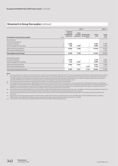# **Movement in Group free surplus** continued

|                                                                            |                     |                                                           | 2020 \$m           |                                                      |                |                            |
|----------------------------------------------------------------------------|---------------------|-----------------------------------------------------------|--------------------|------------------------------------------------------|----------------|----------------------------|
| <b>Contribution to Group free surplus:</b>                                 | Note                | <b>Insurance</b><br>and asset<br>management<br>operations | Other<br>(central) | Discontinued<br>operations US operations<br>note (i) | Group<br>total | Group<br>total<br>note (i) |
| At end of year:                                                            |                     |                                                           |                    |                                                      |                |                            |
| Continuing operations:<br>Long-term business<br>Asset management and other | $\overline{2}$<br>5 | 5,960<br>690                                              | 7,399              | -                                                    | 5,960<br>8,089 | 5,348<br>2,996             |
| Total continuing operations<br>Discontinued US operations                  |                     | 6,650                                                     | 7,399              |                                                      | 14,049<br>-    | 8,344<br>1,749             |
| Free surplus at end of year                                                |                     | 6,650                                                     | 7,399              | -                                                    | 14,049         | 10,093                     |
| At beginning of year:<br>Long-term business<br>Asset management and other  | $\overline{2}$<br>5 | 5,348<br>635                                              | 2,361              | -                                                    | 5,348<br>2,996 | 3,683<br>4,276             |
| Total continuing operations<br>Discontinued US operations                  |                     | 5,983                                                     | 2,361              | -<br>1,749                                           | 8,344<br>1,749 | 7,959<br>1,777             |
| Free surplus at beginning of year                                          |                     | 5,983                                                     | 2,361              | 1,749                                                | 10,093         | 9,736                      |

**Notes**

(i) Discontinued operations represent the Group's US business, Jackson, which was demerged in September 2021. The free surplus generated of \$770 million in 2021 represents the net effect of the result for the year up to demerger and the adjustment to reflect the fair value at the demerger date. It is not representative of the capital generation in the period for the US operations. The 2020 comparative results have been re-presented to show these operations as discontinued accordingly. The retained interest in Jackson is measured for EEV purposes at fair value, consistent with IFRS, and is included in other (central) operations post the demerger. Further information is provided in note 5.

(ii) Free surplus invested in new business primarily represents acquisition costs and amounts set aside for required capital.

(iii) Non-operating free surplus generation in 2020 included a reinsurance commission of \$770 million received as part of a reinsurance transaction undertaken by our business in Hong Kong. During 2021, the treaty resulted in \$(59) million being due to the reinsurer under the contract, which is included within non-operating free surplus generation. The surplus generated from the underlying in-force reinsured policies continued to be recognised as operating free surplus generated. Non-operating free surplus generated for other operations represents the post-tax IFRS basis short-term fluctuations in investment returns and gain or loss on corporate transactions for other entities.

(iv) Net cash flows to parent company reflect the cash remittances as included in the holding company cash flow at transaction rates. The difference to the intra-group dividends and investment in operations in the movement in EEV shareholders' equity primarily relates to intra-group loans, foreign exchange and other non-cash items.

(v) New share capital subscribed primarily represents the issuance of new ordinary shares on the Hong Kong Stock Exchange in October 2021 as described in note C8 of the IFRS financial statements.

(vi) Equity items from discontinued US operations include the mark-to-market value movements on assets backing net worth of \$(206) million for 2021 (2020: \$552 million). In addition, 2020 included a credit of \$63 million relating to the day-one impact of the equity investment by Athene into the US business in July 2020.

(vii) Free surplus at 31 December 2021 was utilised to redeem \$1,725 million of debt in January 2022 as planned.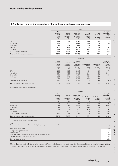# **1 Analysis of new business profit and EEV for long-term business operations**

|                                       |                                                                    | 2021                                                       |                                                                             |                                                |                                                         |                                                                                           |  |  |  |
|---------------------------------------|--------------------------------------------------------------------|------------------------------------------------------------|-----------------------------------------------------------------------------|------------------------------------------------|---------------------------------------------------------|-------------------------------------------------------------------------------------------|--|--|--|
|                                       | <b>New</b><br>business<br>profit<br>(NBP)<br>note<br>$\mathsf{Sm}$ | Annual<br>premium<br>equivalent<br>(APE)<br>$\mathsf{S}$ m | Present<br>value of new<br>business<br>premiums<br>(PVNBP)<br>$\mathsf{Sm}$ | <b>New</b><br>business<br>margin<br>(APE)<br>% | <b>New</b><br><b>business</b><br>margin<br>(PVNBP)<br>% | <b>Closing EEV</b><br>shareholders'<br>equity,<br>excluding<br>goodwill<br>$\mathsf{S}$ m |  |  |  |
| <b>CPL</b>                            | 352                                                                | 776                                                        | 3,761                                                                       | 45%                                            | 9%                                                      | 3,114                                                                                     |  |  |  |
| Hong Kong                             | 736                                                                | 550                                                        | 4,847                                                                       | 134%                                           | 15%                                                     | 21,460                                                                                    |  |  |  |
| Indonesia                             | 125                                                                | 252                                                        | 1,067                                                                       | 50%                                            | 12%                                                     | 2,237                                                                                     |  |  |  |
| Malaysia                              | 232                                                                | 461                                                        | 2,137                                                                       | 50%                                            | 11%                                                     | 3,841                                                                                     |  |  |  |
| Singapore                             | 523                                                                | 743                                                        | 6,214                                                                       | 70%                                            | 8%                                                      | 7,732                                                                                     |  |  |  |
| Growth markets and other              | 558                                                                | 1,412                                                      | 6,127                                                                       | 40%                                            | 9%                                                      | 6,262                                                                                     |  |  |  |
| Total continuing long-term operations | 2,526                                                              | 4,194                                                      | 24,153                                                                      | 60%                                            | 10%                                                     | 44,646                                                                                    |  |  |  |

|                                       | 2020 (AER)                                                         |                                                           |                                                                                    |                                             |                                               |                                                                                           |  |  |
|---------------------------------------|--------------------------------------------------------------------|-----------------------------------------------------------|------------------------------------------------------------------------------------|---------------------------------------------|-----------------------------------------------|-------------------------------------------------------------------------------------------|--|--|
|                                       | <b>New</b><br>business<br>profit<br>(NBP)<br>note<br>$\mathsf{Sm}$ | Annual<br>premium<br>equivalent<br>(APE)<br>$\mathsf{Sm}$ | Present<br>value of new<br><b>business</b><br>premiums<br>(PVNBP)<br>$\mathsf{Sm}$ | <b>New business</b><br>margin<br>(APE)<br>% | <b>New business</b><br>margin<br>(PVNBP)<br>% | <b>Closing EEV</b><br>shareholders'<br>equity,<br>excluding<br>goodwill<br>$\mathsf{S}$ m |  |  |
| <b>CPL</b>                            | 269                                                                | 582                                                       | 2,705                                                                              | 46%                                         | 10%                                           | 2,798                                                                                     |  |  |
| Hong Kong                             | 787                                                                | 758                                                       | 5.095                                                                              | 104%                                        | 15%                                           | 20,156                                                                                    |  |  |
| Indonesia                             | 155                                                                | 267                                                       | 1.154                                                                              | 58%                                         | 13%                                           | 2,630                                                                                     |  |  |
| Malaysia                              | 209                                                                | 346                                                       | 2,023                                                                              | 60%                                         | 10%                                           | 4,142                                                                                     |  |  |
| Singapore                             | 341                                                                | 610                                                       | 5,354                                                                              | 56%                                         | 6%                                            | 8,160                                                                                     |  |  |
| Growth markets and other              | 440                                                                | $1,245*$                                                  | 5,256                                                                              | 35%                                         | 8%                                            | $4.975*$                                                                                  |  |  |
| Total continuing long-term operations | 2,201                                                              | 3,808                                                     | 21,587                                                                             | 58%                                         | 10%                                           | 42,861                                                                                    |  |  |

\* Re-presented to include amounts relating to Africa.

|                                       | 2020 (CER)                                                         |                                                           |                                                                   |                                             |                                               |                                                                                           |  |  |
|---------------------------------------|--------------------------------------------------------------------|-----------------------------------------------------------|-------------------------------------------------------------------|---------------------------------------------|-----------------------------------------------|-------------------------------------------------------------------------------------------|--|--|
|                                       | <b>New</b><br>business<br>profit<br>(NBP)<br>note<br>$\mathsf{Sm}$ | Annual<br>premium<br>equivalent<br>(APE)<br>$\mathsf{Sm}$ | Present<br>value of new<br>business<br>premiums<br>(PVNBP)<br>\$m | <b>New business</b><br>margin<br>(APE)<br>% | <b>New business</b><br>margin<br>(PVNBP)<br>% | <b>Closing EEV</b><br>shareholders'<br>equity,<br>excluding<br>goodwill<br>$\mathsf{S}$ m |  |  |
| <b>CPL</b>                            | 288                                                                | 623                                                       | 2,894                                                             | 46%                                         | 10%                                           | 2,871                                                                                     |  |  |
| Hong Kong                             | 786                                                                | 757                                                       | 5.083                                                             | 104%                                        | 15%                                           | 20.046                                                                                    |  |  |
| Indonesia                             | 158                                                                | 271                                                       | 1.174                                                             | 58%                                         | 13%                                           | 2,592                                                                                     |  |  |
| Malaysia                              | 212                                                                | 351                                                       | 2,051                                                             | 60%                                         | 10%                                           | 3,999                                                                                     |  |  |
| Singapore                             | 350                                                                | 626                                                       | 5,495                                                             | 56%                                         | 6%                                            | 8,000                                                                                     |  |  |
| Growth markets and other              | 446                                                                | $1,262*$                                                  | 5.344                                                             | 35%                                         | 8%                                            | $4,852*$                                                                                  |  |  |
| Total continuing long-term operations | 2,240                                                              | 3,890                                                     | 22.041                                                            | 58%                                         | 10%                                           | 42,360                                                                                    |  |  |

\* Re-presented to include amounts relating to Africa.

| <b>Note</b>                                                                                      |       |
|--------------------------------------------------------------------------------------------------|-------|
| The movement in new business profit from continuing long-term operations is analysed as follows: | \$m   |
| 2020 new business profit                                                                         | 2,201 |
| Foreign exchange movement                                                                        | 39    |
| Sales volume                                                                                     | 175   |
| Effect of changes in interest rates and other economic assumptions                               | (59)  |
| Business mix, product mix and other items                                                        | 170   |
| 2021 new business profit                                                                         | 2,526 |

EEV new business profit reflects the value of expected future profits from the new business sold in the year, and demonstrates the business written in the year is expected to be profitable. Information on the Group's operating experience variances on the in-force business is shown in note 2.

Governance **Governance**

**Group overview**

Group overview

**Strategic report**

Strategic report

Directors' remuneration report **Directors' remuneration report**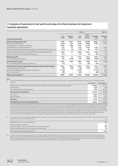# **2 Analysis of movement in net worth and value of in-force business for long-term business operations**

|                                                                                                                                                                                                                                               |                                         |                                    | 2021 \$m                                |                                            |                                    | 2020 \$m                        |
|-----------------------------------------------------------------------------------------------------------------------------------------------------------------------------------------------------------------------------------------------|-----------------------------------------|------------------------------------|-----------------------------------------|--------------------------------------------|------------------------------------|---------------------------------|
| <b>Continuing operations:</b>                                                                                                                                                                                                                 | Free<br>surplus                         | Required<br>capital                | <b>Net</b><br>worth                     | Value of<br>in-force<br>business           | Embedded<br>value<br>note (i)      | Embedded<br>value<br>note (i)   |
| Balance at beginning of year<br>New business contribution<br>Existing business - transfer to net worth<br>Expected return on existing business note (ii)<br>Changes in operating assumptions, experience variances and other items note (iii) | 5,348<br>(537)<br>2,340<br>157<br>(173) | 3,445<br>163<br>(224)<br>79<br>(6) | 8.793<br>(374)<br>2,116<br>236<br>(179) | 34,068<br>2,900<br>(2, 116)<br>1,525<br>48 | 42,861<br>2,526<br>1,761<br>(131)  | 37,902<br>2,201<br>1,401<br>525 |
| Operating profit before restructuring and IFRS 17 implementation costs<br>Restructuring and IFRS 17 implementation costs                                                                                                                      | 1,787<br>(77)                           | 12<br>-                            | 1,799<br>(77)                           | 2,357<br>(5)                               | 4,156<br>(82)                      | 4,127<br>(69)                   |
| <b>Operating profit</b><br>Non-operating profit (loss) note (iv)                                                                                                                                                                              | 1,710<br>142                            | 12<br>(179)                        | 1,722<br>(37)                           | 2,352<br>(566)                             | 4,074<br>(603)                     | 4,058<br>822                    |
| Profit (loss) for the year<br>Non-controlling interests share of (profit) loss                                                                                                                                                                | 1,852<br>(11)                           | (167)                              | 1,685<br>(11)                           | 1,786<br>(19)                              | 3,471<br>(30)                      | 4,880                           |
| Profit (loss) for the year attributable to equity holders of the Company<br>Foreign exchange movements<br>Intra-group dividends and investment in operations<br>Other movements note (v)                                                      | 1,841<br>(30)<br>(1, 115)<br>(84)       | (167)<br>(48)<br>-                 | 1,674<br>(78)<br>(1, 115)<br>(84)       | 1,767<br>(379)<br>-                        | 3,441<br>(457)<br>(1, 115)<br>(84) | 4,881<br>542<br>(567)<br>103    |
| Balance at end of yearnote (i)                                                                                                                                                                                                                | 5,960                                   | 3,230                              | 9,190                                   | 35,456                                     | 44,646                             | 42,861                          |

**Notes**

(i) The total embedded value for continuing long-term business operations at the end of each year show below, excluding goodwill attributable to equity holders, can be analysed further as follows: **31 Dec 2021** \$m  $\frac{31}{2}$  Dec 2021 \$m  $\frac{31}{2}$  Dec 2021 \$m  $\frac{31}{2}$  Dec 2021 \$m  $\frac{31}{2}$  Dec 2020 \$m

|                                                                                                         |        | <b>31 Dec 2021</b> 3111 - 31 Dec 2020 3111 |
|---------------------------------------------------------------------------------------------------------|--------|--------------------------------------------|
| Value of in-force business before deduction of cost of capital and time value of options and quarantees | 36.965 | 36.729                                     |
| Cost of capital                                                                                         | (725)  | (749)                                      |
| Time value of options and quarantees*                                                                   | (784)  | (1, 912)                                   |
| Net value of in-force business                                                                          | 35.456 | 34,068                                     |
| Free surplus                                                                                            | 5.960  | 5.348                                      |
| Required capital                                                                                        | 3.230  | 3,445                                      |
| Net worth                                                                                               | 9.190  | 8,793                                      |
| <b>Embedded value from continuing operations</b>                                                        | 44.646 | 42.861                                     |

\* The time value of options and guarantees (TVOG) arises from the variability of economic outcomes in the future and is, where appropriate, calculated as the difference between an average outcome across a range of economic scenarios, calibrated around a central scenario, and the outcome from the central economic scenario, as described in note 8(i)(d). At 31 December 2021, the TVOG for continuing operations is \$(784) million, with the substantial majority arising in Hong Kong. The TVOG has decreased since 31 December 2020 reflecting the generally higher government bond yields at 31 December 2021 which mean guarantees are less likely to be in-the-money. The TVOG reflects the variability of guaranteed benefit pay-outs across the range of economic scenarios around interest rates at the valuation date and represents some of the market risk for the key products in Hong Kong. As this market risk is explicitly allowed for via the TVOG, no further adjustment is made for this within the EEV risk discount rate, as described in note 8(i)(h). The magnitude of the TVOG at 31 December 2021 would be approximately equivalent to a 10 basis point (2020: 30 basis point) increase in the weighted average risk discount rate which has increased 70 basis points since 31 December 2020.

(ii) The expected return on existing business reflects the effect of changes in economic and operating assumptions in the current year, as described in note 8(ii)(c). The movement in this amount compared to the prior year is analysed as follows:  $\epsilon_{\rm{m}}$ 

|                                                                    | $+111$          |
|--------------------------------------------------------------------|-----------------|
| 2020 expected return on existing business                          | 1.401           |
| Foreign exchange movement                                          | 22 <sub>2</sub> |
| Effect of changes in interest rates and other economic assumptions | 253             |
| Growth in opening value of in-force business and other items       | 85              |
| 2021 expected return on existing business                          | 1.761           |

(iii) The effect of changes in operating assumptions of \$118 million in 2021 (2020: \$390 million) principally reflects the outcome of the regular review of persistency, claims and expenses. Experience variances and other items of \$(249) million (2020: \$135 million) has been driven primarily by short-term persistency and claims impacts linked to Covid-19. There have been higher Covid-19-related claims in Indonesia and India, with high Covid-19 cases recorded in mid to late 2021. 2021 also began to see a more normalised level of medical reimbursement claims compared to 2020, when claims were more significantly reduced by customers either not seeking or deferring insured treatments.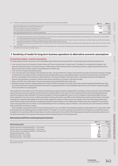(iv) The EEV non-operating profit (loss) from continuing long-term operations can be summarised as follows: **<sup>2021</sup>** \$m **<sup>2020</sup>** \$m Short-term fluctuations in investment returns note (a) **(1,015)** 1,909 Effect of change in economic assumptions note (b) **412** (996) Loss attaching to corporate transactions note (c) **–** (91) Non-operating profit (loss) from continuing operations **(603)** 822

- (a) The charge of \$(1,015) million in short-term fluctuations in investment returns mainly reflects lower than expected bond returns, following the rise in interest rates in many markets in the year, partially offset by better than expected equity returns.
- (b) The credit of \$412 million for the effect of change in economic assumptions primarily arises from increases in long-term interest rates, resulting in higher assumed fund earned rates that impact projected future cash flows, partially offset by the effect of higher risk discount rates.
- (c) In 2020, the loss attaching to corporate transactions of \$(91) million arose on the reinsurance transaction undertaken by the Hong Kong business as described in movement in Group free surplus.
- (v) Other movements include reserve movements in respect of share-based payments, treasury shares, intra-group loans and other intra-group transfers between operations that have no overall effect on the Group's shareholders' equity.

# **3 Sensitivity of results for long-term business operations to alternative economic assumptions**

### **(i) Sensitivity analysis – economic assumptions**

The tables below show the sensitivity of the embedded value and the new business profit for continuing long-term business operations to:

- **>** 1 per cent and 2 per cent increases in interest rates and 0.5 per cent decrease in interest rates. This allows for consequential changes in the assumed investment returns for all asset classes, market values of fixed interest assets, local statutory reserves, capital requirements and risk discount rates (but excludes changes in the allowance for market risk);
- **>** 1 per cent rise in equity and property yields;
- **>** 1 per cent and 2 per cent increases in the risk discount rates. The main driver for changes in the risk discount rates from period to period is changes in interest rates, the impact of which is expected to be partially offset by a corresponding change in assumed investment returns, the effect of which is not included in the risk discount rate sensitivities. The impact of higher investment returns can be approximated as the difference between the sensitivity to increases in interest rates and the sensitivity to increases in risk discount rates;
- **>** 20 per cent fall in the market value of equity and property assets (embedded value only); and
- **>** Holding the group minimum capital requirements under the GWS Framework in contrast to EEV basis required capital (embedded value only). This reduces the level of capital and therefore the level of charge deducted from the embedded value for the cost of locked-in required capital. This has the effect of increasing EEV.

The sensitivities shown below are for the impact of instantaneous and permanent changes (with no trending or mean reversion) on the embedded value of long-term business operations and include the combined effect on the value of in-force business and net assets (including derivatives) held at the valuation dates indicated. The results only allow for limited management actions, such as changes to future policyholder bonuses, where applicable. If such economic conditions persisted, the financial impacts may differ to the instantaneous impacts shown below. In this case, management could also take additional actions to help mitigate the impact of these stresses. No change in the mix of the asset portfolio held at the valuation date is assumed when calculating sensitivities, while changes in the market value of those assets are recognised. The sensitivity impacts are expected to be non-linear. To aid understanding of this non-linearity, impacts of both a 1 per cent and 2 per cent increase to interest rates and risk discount rates are shown.

If the changes in assumptions shown in the sensitivities were to occur, the effects shown below would be recorded within two components of the profit analysis for the following period, namely the effect of changes in economic assumptions and short-term fluctuations in investment returns. In addition to the sensitivity effects shown below, the other components of the profit for the following period would be calculated by reference to the altered assumptions, for example new business profit and expected return on existing business.

### **New business profit from continuing long-term business**

|                                                          | $2021^*$ \$m | 2020 Sm |
|----------------------------------------------------------|--------------|---------|
| New business profit                                      | 2.526        | 2,201   |
| Interest rates and consequential effects - 2% increase   | 88           | 107     |
| Interest rates and consequential effects - 1% increase   | 70           | 78      |
| Interest rates and consequential effects - 0.5% decrease | (64)         | (98)    |
| Equity/property yields - 1% rise                         | 155          | 140     |
| Risk discount rates - 2% increase                        | (653)        | (626)   |
| Risk discount rates - 1% increase                        | (380)        | (372)   |

\* 2021 new business profit includes Africa operations following the change in the Group's operating segments in 2021. In the context of the Group, Africa's results are not materially impacted by the above sensitivities.

**Governance**

**Group overview**

**Strategic report**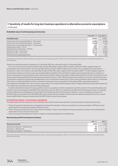# **3 Sensitivity of results for long-term business operations to alternative economic assumptions**  continued

### **Embedded value of continuing long-term business**

|                                                          | 31 Dec 2021* \$m 31 Dec 2020 \$m |         |
|----------------------------------------------------------|----------------------------------|---------|
| <b>Embedded value</b>                                    | 44.646                           | 42,861  |
| Interest rates and consequential effects - 2% increase   | (4,782)                          | (3,589) |
| Interest rates and consequential effects - 1% increase   | (2,228)                          | (1,429) |
| Interest rates and consequential effects - 0.5% decrease | 223                              | 177     |
| Equity/property yields - 1% rise                         | 1.909                            | 1.949   |
| Equity/property market values - 20% fall                 | (1,959)                          | (1.912) |
| Risk discount rates - 2% increase                        | (9,717)                          | (9,225) |
| Risk discount rates - 1% increase                        | (5,443)                          | (5,286) |
| Group minimum capital requirements                       | 136                              | 150     |

\* Embedded value includes Africa operations following the change in the Group's operating segments in 2021. In the context of the Group, Africa's results are not materially impacted by the above sensitivities.

Overall, the new business profit sensitivities at 31 December 2021 are in line with those at 31 December 2020.

For a 1 per cent increase in assumed interest rates, the \$(2,228) million negative effect comprises a \$(5,443) million negative impact of increasing the risk discount rate by 1 per cent, partially offset by a \$3,215 million benefit from assuming 1 per cent higher investment returns. Similarly, for a 2 per cent increase in assumed interest rates the \$(4,782) million negative effect comprises a \$(9,717) million negative impact of increasing the risk discount rates by 2 per cent, partially offset by a \$4,935 million benefit from higher assumed investment returns. Finally, for a 0.5 per cent decrease in assumed interest rates, there would be a \$223 million positive effect reflecting the benefit of a 0.5 per cent reduction in risk discount rates being partially offset by lower assumed investment returns. These offsetting impacts are sensitive to economics and the net impact can therefore change from period to period depending on the current level of interest rates. At the current and higher interest rates at 31 December 2021, there is a reduced benefit from further increases in investment returns compared to 31 December 2020, as guarantees written to policyholders are less likely to be in-the-money at current levels. This contrasts with the adverse effect of higher risk discount rates which tends to be more stable from period to period, all other things being equal.

In order to illustrate the impact of varying specific economic assumptions, all other assumptions are held constant in the sensitivities above and therefore, the actual changes in embedded value were these economic effects to materialise may differ from the sensitivities shown. For example, market risk allowances would likely be increased within the risk discount rate if interest rates increased by 1 per cent, leading to a reduction of \$(2,583) million (compared with the \$(2,228) million impact shown above). However, if interest rates actually decreased by 0.5 per cent, it would lead to a \$409 million increase (compared with the \$223 million increase shown above).

### **(ii) Sensitivity analysis – non-economic assumptions**

The tables below show the sensitivity of the embedded value and the new business profit for continuing long-term business operations to:

- **>** 10 per cent proportionate decrease in maintenance expenses (for example, a 10 per cent sensitivity on a base assumption of \$10 per annum would represent an expense assumption of \$9 per annum);
- **>** 10 per cent proportionate decrease in lapse rates (for example, a 10 per cent sensitivity on a base assumption of 5.0 per cent would represent a lapse rate of 4.5 per cent per annum); and
- **>** 5 per cent proportionate decrease in base mortality (ie increased longevity) and morbidity rates.

### **New business profit from long-term business**

|                                       | $2021^{\circ}$ \$m | 2020 Sm |
|---------------------------------------|--------------------|---------|
| New business profit                   | 2.526              | 2,201   |
| Maintenance expenses - 10% decrease   | 60                 | 47      |
| Lapse rates - 10% decrease            | 190                | 156     |
| Mortality and morbidity - 5% decrease | 143                | 106     |

\* 2021 new business profit includes Africa operations following the change in the Group's operating segments in 2021. In the context of the Group, Africa's results are not materially impacted by the above sensitivities.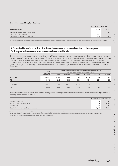### **Embedded value of long-term business**

|                                       | 31 Dec 2021 <sup>*</sup> \$m 31 Dec 2020 \$m |        |
|---------------------------------------|----------------------------------------------|--------|
| Embedded value                        | 44.646                                       | 42,861 |
| Maintenance expenses - 10% decrease   | 455                                          | 476    |
| Lapse rates - 10% decrease            | 1.901                                        | 1,774  |
| Mortality and morbidity - 5% decrease | 1.596                                        | 1,689  |

\* Embedded value includes Africa operations following the change in the Group's operating segments in 2021. In the context of the Group, Africa's results are not materially impacted by the above sensitivities.

# **4 Expected transfer of value of in-force business and required capital to free surplus for long-term business operations on a discounted basis**

The table below shows how the value of in-force business (VIF) and the associated required capital for long-term business operations are projected as emerging into free surplus over future years. Cash flows are projected on a deterministic basis and are discounted at the appropriate risk discount rate. The modelled cash flows use the same methodology underpinning the Group's EEV reporting and so are subject to the same assumptions and sensitivities. The projected emergence of VIF and required capital into free surplus in 2021 will be the starting point for expected free surplus generation next year, after updating for operating and economic assumption changes. See note I(vi) of the additional financial information for further detail.

|              | <b>Total</b><br>expected                                                              |       |       |       | Expected period of conversion of future post-tax distributable earnings<br>and required capital flows to free surplus at 31 Dec |       |            |
|--------------|---------------------------------------------------------------------------------------|-------|-------|-------|---------------------------------------------------------------------------------------------------------------------------------|-------|------------|
|              | $11-15$ years<br>$16-20$ years<br>6-10 years<br>21-40 years<br>1-5 years<br>emergence |       |       |       |                                                                                                                                 |       | $40+years$ |
| $2021$ (\$m) | 38,922                                                                                | 9,520 | 6,824 | 5,160 | 4,190                                                                                                                           | 9,588 | 3,640      |
| $(\%)$       | 100%                                                                                  | 24%   | 18%   | 13%   | 11%                                                                                                                             | 25%   | 9%         |
| $2020$ (\$m) | 38.594                                                                                | 9.112 | 6.932 | 5.511 | 4.234                                                                                                                           | 9.193 | 3,612      |
| (% )         | 100%                                                                                  | 24%   | 18%   | 14%   | 11%                                                                                                                             | 24%   | 9%         |

The required capital and value of in-force business for long-term business operations can be reconciled to the total discounted emergence of future free surplus shown above as follows:

|                                          | 31 Dec 2021* \$m 31 Dec 2020 \$m |        |  |
|------------------------------------------|----------------------------------|--------|--|
| Required capital <sup>note 2</sup>       | 3.230                            | 3,445  |  |
| Value of in-force business (VIF) note 2  | 35.456                           | 34,068 |  |
| Other items**                            | 236                              | 1,081  |  |
| Continuing long-term business operations | 38.922                           | 38,594 |  |

\* 2021 amounts include Africa operations following the change in the Group's operating segments in 2021.

\*\*'Other items' represent the impact of the TVOG and amounts incorporated into VIF where there is no definitive time frame for when the payments will be made or receipts received. These items are excluded from the expected free surplus generation profile above.

**Group overview**

Group overview

**Financial statements**

Financial statements

**[European Embedded Value \(EEV\) basis results](#page-0-0)**

European Embedded Value (EEV) basis results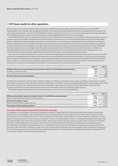# **5 EEV basis results for other operations**

EEV basis other income and expenditure represents the post-tax IFRS basis results for other operations (before restructuring and IFRS 17 implementation costs), together with an adjustment to deduct the unwind of expected margins on the internal management of the assets of the continuing covered business, as shown in the table below. It mainly includes interest costs on core structural borrowings and corporate expenditure for head office functions in London and Hong Kong that are not recharged/allocated to the insurance operations.

In line with the EEV Principles, the allowance for the future costs of internal asset management services within the EEV basis results for long-term insurance operations excludes the projected future profits or losses generated by any non-insurance entities within the Group in providing those services (ie the EEV for long-term insurance operations assumes that the cost of internal asset management services will be that incurred by the Group as a whole, not the cost that will be borne by the insurance business). The results of the Group's asset management operations include the current period profit from the management of both internal and external funds, consistent with their presentation within the Group's IFRS basis reporting. An adjustment is accordingly made to Group EEV operating profit, within the EEV basis results for other operations, to deduct the expected profit anticipated to arise in the current period in the opening value of in-force business from internal asset management services, such that Group EEV operating profit includes the actual profit earned in respect of the management of these assets.

Any costs incurred within the head office functions in London and Hong Kong that are deemed attributable to the long-term insurance (covered) business are recharged/allocated to the insurance operations and recorded within the results for those operations. The assumed future expenses within the value of in-force business for long-term insurance operations allow for amounts expected to be recharged/allocated by the head office functions. Other costs that are not recharged/allocated to the insurance operations are shown as part of other income and expenditure for the current period, and are not included within the projection of future expenses for in-force insurance business.

|                                                                                                       | $2021$ \$m | $2020$ Sm |
|-------------------------------------------------------------------------------------------------------|------------|-----------|
| IFRS basis other income and expenditure (as recorded in note B1.1 of the IFRS financial statements)   | (605)      | (743)     |
| Tax effects on IFRS basis results                                                                     | (37)       | (15)      |
| Less: unwind of expected profit on internal management of the assets of continuing long-term business | (81)       | (68)      |
| EEV basis other income and expenditure                                                                | (723)      | (826)     |

The EEV basis shareholders' equity for other operations is taken to be IFRS basis shareholders' equity, with central Group debt shown on a market value basis. Free surplus for other operations is taken to be IFRS basis shareholders' equity, net of goodwill attributable to equity holders, with central Group debt recorded as free surplus to the extent that it is classified as capital resources under the Group's capital regime. Under the GWS Framework, all debt instruments issued by Prudential plc at the 31 December 2021 are included as capital resources.

Shareholders' equity for other operations can be compared across metrics as shown in the table below.

|                                                                                           | 2021 Sm | 2020 Sm |
|-------------------------------------------------------------------------------------------|---------|---------|
| IFRS basis shareholders' equity (as recorded in note C1 of the IFRS financial statements) | 1.679   | (1,596) |
| Mark-to-market value adjustment on central borrowings <sup>note 6</sup>                   | (438)   | (795)   |
| EEV basis shareholders' equity                                                            | 1.241   | (2,391) |
| Debt instruments treated as capital resources                                             | 6.158   | 4.752   |
| Free surplus of other (central) operations                                                | 7.399   | 2,361   |

### **Treatment of discontinued US operations following the demerger**

On completion of the demerger of the Group's US operations (Jackson) in September 2021, the Group's pre-demerger interest in Jackson was remeasured to its observable fair value at that date, with any remeasurement gain or loss recognised in the results of discontinued operations. At the same time, the fair value of the interest in Jackson distributed to the Group's shareholders was recognised directly as a reduction in Group equity. The Group retained a 19.7 per cent economic interest (19.9 per cent voting interest) of Jackson immediately following the demerger, which was valued at \$493 million at that time. In December 2021, Jackson repurchased 2,242,516 shares of its Class A common stock from Prudential which reduced Prudential's economic interest to 18.4 per cent as at 31 December 2021 (18.5 per cent voting interest) and realised a gain of \$23 million which is included in corporate transactions. The remaining 18.4 per cent economic interest is measured at fair value within the EEV results at 31 December 2021. Unrealised changes in fair value since the date of demerger have been included in other movements in equity items from continuing operations as part of the EEV basis results for other operations. This treatment is consistent with the approach adopted for IFRS as discussed in note D1.2 of the IFRS financial statements.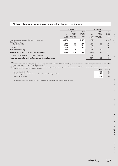# **6 Net core structural borrowings of shareholder-financed businesses**

|                                                                   | 31 Dec 2021 Sm                    |                                                         |                                           |                                   | 31 Dec 2020 \$m                                         |                                           |
|-------------------------------------------------------------------|-----------------------------------|---------------------------------------------------------|-------------------------------------------|-----------------------------------|---------------------------------------------------------|-------------------------------------------|
|                                                                   | <b>IFRS</b><br>basis<br>note (ii) | Mark-to-<br>market<br>value<br>adjustment<br>note (iii) | <b>EEV</b><br>basis at<br>market<br>value | <b>IFRS</b><br>basis<br>note (ii) | Mark-to-<br>market<br>value<br>adjustment<br>note (iii) | <b>EEV</b><br>basis at<br>market<br>value |
| Holding company cash and short-term investments note (i)          | (3,572)                           | -                                                       | (3,572)                                   | (1,463)                           | $\qquad \qquad -$                                       | (1,463)                                   |
| Central borrowings:                                               |                                   |                                                         |                                           |                                   |                                                         |                                           |
| Subordinated debt                                                 | 4.075                             | 196                                                     | 4,271                                     | 4.332                             | 420                                                     | 4,752                                     |
| Senior debt                                                       | 1.702                             | 242                                                     | 1,944                                     | 1.701                             | 375                                                     | 2,076                                     |
| Bank loan                                                         | 350                               |                                                         | 350                                       | 350                               | $\qquad \qquad -$                                       | 350                                       |
| Total central borrowings                                          | 6,127                             | 438                                                     | 6,565                                     | 6,383                             | 795                                                     | 7,178                                     |
| Total net central funds from continuing operations                | 2,555                             | 438                                                     | 2,993                                     | 4,920                             | 795                                                     | 5,715                                     |
| Discontinued US operations (Jackson Surplus Notes)                |                                   |                                                         |                                           | 250                               | 90                                                      | 340                                       |
| Net core structural borrowings of shareholder-financed businesses |                                   |                                                         |                                           | 5,170                             | 885                                                     | 6,055                                     |

# **Notes**

(i) Holding company includes centrally managed group holding companies. \$1,725 million of the cash held at the year-end was used in January 2022 to complete the planned debt redemptions. (ii) As recorded in note C5.1 of the IFRS financial statements.

(iii) The movement in the value of core structural borrowings includes foreign exchange effects for pounds sterling denominated debts. The movement in the mark-to-market value adjustment from continuing operations can be analysed as follows

|                                                                             | <b>2021</b> Sm | <b>2020</b> Sm |
|-----------------------------------------------------------------------------|----------------|----------------|
| Balance at beginning of year                                                | 795            | 548            |
| (Credit) charge included in the income statement from continuing operations | (357)          | 247            |
| Balance at end of year                                                      | 438            | 795            |

The movement in the value of the Jackson Surplus Notes is included in the results of the discontinued US operations.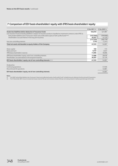# **7 Comparison of EEV basis shareholders' equity with IFRS basis shareholders' equity**

|                                                                                                                                | 31 Dec 2021 \$m | 31 Dec 2020 \$m |
|--------------------------------------------------------------------------------------------------------------------------------|-----------------|-----------------|
| Assets less liabilities before deduction of insurance funds                                                                    | 164,810         | 421,987         |
| Less insurance funds (including liabilities in respect of insurance products classified as investment contracts under IFRS 4): |                 |                 |
| Policyholder liabilities (net of reinsurers' share) and unallocated surplus of with-profits funds note (i)                     | (147, 546)      | (399, 868)      |
| Shareholders' accrued interest in the long-term business                                                                       | 30,267          | 33,129          |
|                                                                                                                                | (117, 279)      | (366,739)       |
| Less non-controlling interests                                                                                                 | (176)           | (1,241)         |
| Total net assets attributable to equity holders of the Company                                                                 | 47,355          | 54,007          |
|                                                                                                                                |                 |                 |
| Share capital                                                                                                                  | 182             | 173             |
| Share premium                                                                                                                  | 5,010           | 2,637           |
| IFRS basis shareholders' reserves                                                                                              | 11,896          | 18,068          |
| IFRS basis shareholders' equity, net of non-controlling interests                                                              | 17,088          | 20,878          |
| Shareholders' accrued interest in the long-term business                                                                       | 30,267          | 33,129          |
| EEV basis shareholders' equity, net of non-controlling interests note (ii)                                                     | 47,355          | 54,007          |
|                                                                                                                                |                 |                 |
| Analysed as:                                                                                                                   |                 |                 |
| Continuing operations                                                                                                          |                 | 41,926          |
| Discontinued US operations                                                                                                     |                 | 12,081          |
| EEV basis shareholders' equity, net of non-controlling interests                                                               |                 | 54.007          |

### **Notes**

(i) The 2020 "policyholder liabilities (net of reinsurers' share) and unallocated surplus of with-profits funds" included amounts relating to the discontinued US operations. (ii) The 31 December 2021 amount includes the Group's retained 18.4 per cent economic interest (18.5 per cent voting interest) in Jackson post demerger at fair value.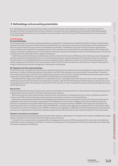# **8 Methodology and accounting presentation**

The methodology and accounting presentation below are stated for the Group's continuing business operations only. Following Jackson's demerger, the Group's US operations are no longer included in covered business with comparatives being re-presented. Methodology applied for the discontinued US operations in the comparative results is provided in note 8 of the Group's EEV financial statements for the year ended 31 December 2020.

### **(i) Methodology**

### **(a) Covered business**

The EEV basis results for the Group's continuing operations are prepared for 'covered business' as defined by the EEV Principles. Covered business represents the Group's long-term insurance business (including the Group's investments in joint venture and associate insurance operations), for which the value of new and in-force contracts is attributable to shareholders. The definition of long-term insurance business comprises those contracts falling under the definition for regulatory purposes. Africa operations are included within the covered business from 2021 following the change in the Group's operating segments. Further details on the Group's segments are provided in note B1.2 of the IFRS basis results. The amounts are shown within the continuing insurance segment for all periods.

The EEV basis results for the Group's covered business are then combined with the post-tax IFRS basis results of the Group's asset management and other operations (including interest costs on core structural borrowings and corporate expenditure for head office functions in London and Hong Kong that is not recharged/allocated to the insurance operations), with an adjustment to deduct the unwind of expected margins on the internal management of the assets of the covered business. Under the EEV Principles, the results for covered business incorporate the projected margins of attaching internal asset management, as described in note (g) below.

### **(b) Valuation of in-force and new business**

The EEV basis results are prepared incorporating best estimate assumptions about all relevant factors including levels of future investment returns, persistency, mortality, morbidity and expenses, as described in note 9(iii). These assumptions are used to project future cash flows. The present value of the projected future cash flows is then calculated using a discount rate, as shown in note 9(i), which reflects both the time value of money and all other non-diversifiable risks associated with the cash flows that are not otherwise allowed for.

The total profit that emerges over the lifetime of an individual contract as calculated under the EEV basis is the same as that calculated under the IFRS basis. Since the EEV basis reflects discounted future cash flows, under the EEV methodology the profit emergence is advanced, thus more closely aligning the timing of the recognition of profit with the efforts and risks of current management actions, particularly with regard to business sold during the period.

### *New business*

In determining the EEV basis value of new business, premiums are included in projected cash flows on the same basis of distinguishing regular and single premium business as set out in the Group's new business sales reporting.

New business premiums reflect those premiums attaching to the covered business, including premiums for contracts classified as investment contracts under IFRS 4. New business premiums for regular premium products are shown on an annualised basis.

New business profit represents profit determined by applying operating and economic assumptions as at the end of the period. New business profitability is a key metric for the Group's management of the development of the business. In addition, new business margins are shown by reference to annual premium equivalent (APE) and the present value of new business premiums (PVNBP). These margins are calculated as the percentage of the value of new business profit to APE and PVNBP. APE is calculated as the aggregate of regular premiums on new business written in the period and one-tenth of single premiums. PVNBP is calculated as the aggregate of single premiums and the present value of expected future premiums from regular premium new business, allowing for lapses and the other assumptions made in determining the EEV new business profit.

### *Valuation movements on investments*

Investment gains and losses during the period (to the extent that changes in capital values do not directly match changes in liabilities) are included directly in the profit or loss for the period and shareholders' equity as they arise.

The results for the covered business conceptually reflect the aggregate of the post-tax IFRS basis results and the movements in the additional shareholders' interest recognised on an EEV basis. Therefore, the starting point for the calculation of the EEV basis results reflects the market value movements recognised on an IFRS basis.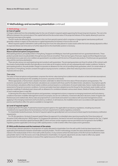# **8 Methodology and accounting presentation** continued

### **(i) Methodology** continued

### **(c) Cost of capital**

A charge is deducted from the embedded value for the cost of locked-in required capital supporting the Group's long-term business. The cost is the difference between the nominal value of the capital held and the discounted value of the projected releases of this capital, allowing for post-tax investment earnings on the capital.

The EEV results are affected by the movement in this cost from period to period, which comprises a charge against new business profit and generally a release in respect of the reduction in capital requirements for business in force as this runs off.

Where required capital is held within a with-profits long-term fund, the value placed on surplus assets within the fund is already adjusted to reflect its expected release over time and so no further adjustment to the shareholder position is necessary.

### **(d) Financial options and guarantees**

### *Nature of financial options and guarantees*

Participating products, principally written in Hong Kong, Singapore and Malaysia, have both guaranteed and non-guaranteed elements. These products provide returns to policyholders through bonuses that are smoothed. There are two types of bonuses: regular and final. Regular bonuses are declared once a year and, once credited, are guaranteed in accordance with the terms of the particular products. Final bonuses are guaranteed only until the next bonus declaration.

There are also various non-participating long-term products with guarantees. The principal guarantees are those for whole-of-life contracts with floor levels of policyholder benefits that typically accrue at rates set at inception and do not vary subsequently with market conditions. Similar to participating products, the policyholder charges incorporate an allowance for the cost of providing these guarantees, which, for certain whole-oflife products in Hong Kong, remains constant throughout varying economic conditions, rather than reducing as the economic environment improves and vice versa.

### *Time value*

The value of financial options and guarantees comprises the intrinsic value (arising from a deterministic valuation on best estimate assumptions) and the time value (arising from the variability of economic outcomes in the future).

Where appropriate, a full stochastic valuation has been undertaken to determine the time value of financial options and guarantees. The economic assumptions used for the stochastic calculations are consistent with those used for the deterministic calculations. Assumptions specific to the stochastic calculations reflect local market conditions and are based on a combination of actual market data, historic market data and an assessment of long-term economic conditions. Common principles have been adopted across the Group for the stochastic asset models, such as separate modelling of individual asset classes with an allowance for correlations between various asset classes. Details of the key characteristics of each model are given in note 9(ii).

In deriving the time value of financial options and guarantees, management actions in response to emerging investment and fund solvency conditions have been modelled. Management actions encompass, but are not confined to, investment allocation decisions, levels of regular and final bonuses and credited rates. Bonus rates are projected from current levels and varied in accordance with assumed management actions applying in the emerging investment and fund solvency conditions. In all instances, the modelled actions are in accordance with approved local practice and therefore reflect the options available to management.

### **(e) Level of required capital**

In adopting the EEV Principles, Prudential has based required capital on the applicable local statutory regulations, including any amounts considered to be required above the local statutory minimum requirements to satisfy regulatory constraints.

For shareholder-backed businesses, the level of required capital has generally been set to an amount at least equal to local statutory notification requirements.

For CPL life operations, the level of required capital follows the approach for embedded value reporting issued by the China Association of Actuaries (CAA) reflecting the C-ROSS regime. For Singapore life operations, the level of net worth and required capital is based on the Tier 1 Capital position under the risk-based capital framework (RBC2), which removes certain negative reserves permitted to be recognised in the full RBC2 regulatory position applicable to the Group's GWS capital position, in order to better reflect free surplus and its generation.

### **(f) With-profits business and the treatment of the estate**

For the Group's relevant operations, the proportion of surplus allocated to shareholders from the with-profits funds has been based on the applicable profit distribution between shareholders and policyholders. The EEV methodology includes the value attributed to the shareholders' interest in the residual estate of the in-force with-profits business. In any scenarios where the total assets of the life fund are insufficient to meet policyholder claims in full, the excess cost is fully attributed to shareholders. As required, adjustments are also made to reflect any capital requirements for with-profits business in excess of the capital resources of the with-profits funds.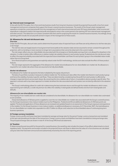**Additional information**

In line with the EEV Principles, the in-force and new business results from long-term business include the projected future profit or loss from asset management and service companies that support the Group's covered insurance businesses. The results of the Group's asset management operations include the current period profit from the management of both internal and external funds. EEV basis shareholders' other income and expenditure is adjusted to deduct the expected profit anticipated to arise in the current period in the opening VIF from internal asset management and other services. This deduction is on a basis consistent with that used for projecting the results for covered insurance business. Accordingly, Group operating profit includes the actual profit earned in respect of the management of these assets.

### **(h) Allowance for risk and risk discount rates**

**(g) Internal asset management**

### *Overview*

Under the EEV Principles, discount rates used to determine the present value of expected future cash flows are set by reference to risk-free rates plus a risk margin.

The risk-free rates are largely based on local government bond yields at the valuation date and are assumed to remain constant throughout the projection, with no trending or mean reversion to longer-term assumptions that cannot be observed in the current market.

The risk margin reflects any non-diversifiable risk associated with the emergence of distributable earnings that is not allowed for elsewhere in the valuation. In order to better reflect differences in relative market risk volatility inherent in each product group, Prudential sets the risk discount rates to reflect the expected volatility associated with the expected future shareholder cash flows for each product group in the embedded value model, rather than at a Group level.

Since financial options and guarantees are explicitly valued under the EEV methodology, risk discount rates exclude the effect of these product features.

The risk margin represents the aggregate of the allowance for market risk and allowance for non-diversifiable non-market risk. No allowance is required for non-market risks where these are assumed to be fully diversifiable.

### *Market risk allowance*

The allowance for market risk represents the beta multiplied by the equity risk premium.

The beta of a portfolio or product measures its relative market risk. The risk discount rates reflect the market risk inherent in each product group and hence the volatility of product-specific cash flows. These are determined by considering how the profit from each product is affected by changes in expected returns across asset classes. By converting this into a relative rate of return, it is possible to derive a product-specific beta. This approach contrasts with a top-down approach to market risk where the risks associated with each product are not directly reflected in the valuation basis.

The Group's methodology allows for credit risk in determining the best estimate returns and through the market risk allowance, which covers expected long-term defaults, a credit risk premium (to reflect the volatility in downgrade and default levels) and short-term downgrades and defaults.

### *Allowance for non-diversifiable non-market risks*

The majority of non-market and non-credit risks are considered to be diversifiable. An allowance for non-diversifiable non-market risks is estimated as set out below.

A base level allowance of 50 basis points is applied to cover the non-diversifiable non-market risks associated with the Group's covered business. For the Group's businesses in less mature markets (such as the Philippines, Thailand and Africa) additional allowances of 250 basis points are applied. The level and application of these allowances are reviewed and updated based on an assessment of the Group's exposure and experience in the markets. For the Group's business in more mature markets, no additional allowance is necessary. At 31 December 2021, the total allowance for non-diversifiable non-market risk is equivalent to a \$(3.7) billion (or (8) per cent) reduction to the embedded value of continuing long-term business operations.

### **(i) Foreign currency translation**

Foreign currency profits and losses have been translated at average exchange rates for the period. Foreign currency transactions are translated at the spot rate prevailing at the date of the transactions. Foreign currency assets and liabilities have been translated at closing exchange rates. The principal exchange rates are shown in note A1 of the Group IFRS financial statements.

### **(j) Taxation**

In determining the post-tax profit for the period for covered business, the overall tax rate includes the impact of tax effects determined on a local regulatory basis. Tax payments and receipts included in the projected future cash flows to determine the value of in-force business are calculated using tax rates that have been announced and substantively enacted by the end of the reporting period.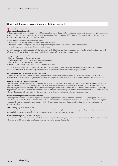# **8 Methodology and accounting presentation** continued

## **(ii) Accounting presentation**

### **(a) Analysis of post-tax profit**

To the extent applicable, the presentation of the EEV basis profit or loss for the period from continuing operations is consistent with the classification between operating and non-operating results that the Group applies for the analysis of IFRS basis results. Operating results are determined as described in note (b) below and incorporate the following:

- **>** New business profit, as defined in note (i)(b) above;
- **>** Expected return on existing business, as described in note (c) below;
- **>** The impact of routine changes of estimates relating to operating assumptions, as described in note (d) below; and
- **>** Operating experience variances, as described in note (e) below.

In addition, operating results include the effect of changes in tax legislation, unless these changes are one-off and structural in nature, or primarily affect the level of projected investment returns, in which case they are reflected as a non-operating result.

### *Non-operating results comprise:*

- **>** Short-term fluctuations in investment returns;
- **>** Mark-to-market value movements on core structural borrowings;
- **>** Effect of changes in economic assumptions; and
- **>** The impact of corporate transactions, if any, undertaken in the year.

Total profit or loss in the period attributable to shareholders and basic earnings per share include these items, together with actual investment returns. The Group believes that operating profit, as adjusted for these items, better reflects underlying performance.

### **(b) Investment returns included in operating profit**

For the investment element of the assets covering the total net worth of long-term insurance business, investment returns are recognised in operating results at the expected long-term rates of return. These expected returns are calculated by reference to the asset mix of the portfolio.

### **(c) Expected return on existing business**

Expected return on existing business comprises the expected unwind of discounting effects on the opening value of in-force business and required capital and the expected return on existing free surplus. The unwind of discount and the expected return on existing free surplus are determined after adjusting for the effect of changes in economic and operating assumptions in the current period on the embedded value at the beginning of the period, for example the unwind of discount on the value of in-force business and required capital is determined after adjusting both the opening value and the risk discount rates for the effect of changes in economic and operating assumptions in the current period.

### **(d) Effect of changes in operating assumptions**

Operating profit includes the effect of changes to operating assumptions on the value of in-force business at the end of the reporting period. For presentational purposes the effect of changes is delineated to show the effect on the opening value of in-force business as operating assumption changes, with the experience variances subsequently being determined by reference to the assumptions at the end of the reporting period, as discussed below.

### **(e) Operating experience variances**

Operating profit includes the effect of experience variances on operating assumptions, such as persistency, mortality, morbidity, expenses and other factors, which are calculated with reference to the assumptions at the end of the reporting period.

### **(f) Effect of changes in economic assumptions**

Movements in the value of in-force business at the beginning of the period caused by changes in economic assumptions, net of the related changes in the time value of financial options and guarantees, are recorded in non-operating results.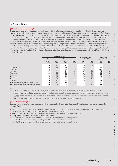# **9 Assumptions**

### **(i) Principal economic assumptions**

The EEV basis results for the Group's covered business are determined using economic assumptions where both the risk discount rates and long-term expected rates of return on investments are set with reference to risk-free rates of return at the end of the reporting period. Both the risk discount rate and expected rates of return are updated at each valuation date to reflect current market risk-free rates, with the effect that changes in market risk-free rates impact all projected future cash flows. The risk-free rates of return are largely based on local government bond yields and are assumed to remain constant throughout the projection, with no trending or mean reversion to longer-term assumptions that cannot be observed in the current market. The risk-free rates of return are shown below for each of the Group's insurance operations. Expected returns on equity and property assets and corporate bonds are derived by adding a risk premium to the risk-free rate based on the Group's long-term view.

As described in note 8(i)(h), risk discount rates are set equal to the risk-free rate at the valuation date plus allowances for market risk and non-diversifiable non-market risks appropriate to the features and risks of the underlying products and markets. Risks that are explicitly allowed for elsewhere in the EEV basis, such as via the cost of capital and the time value of options and guarantees, as set out in note 2(i), are not included in the risk discount rates.

|                                                                | <b>Risk discount rate %</b> |                |                   |                | 10-year government |                | <b>Equity return</b> |                |
|----------------------------------------------------------------|-----------------------------|----------------|-------------------|----------------|--------------------|----------------|----------------------|----------------|
|                                                                | <b>New business</b>         |                | In-force business |                | bond yield %       |                | (geometric) %        |                |
|                                                                | 31 Dec<br>2021              | 31 Dec<br>2020 | 31 Dec<br>2021    | 31 Dec<br>2020 | 31 Dec<br>2021     | 31 Dec<br>2020 | 31 Dec<br>2021       | 31 Dec<br>2020 |
| <b>CPL</b>                                                     | 7.3                         | 7.7            | 7.3               | 7.7            | 2.8                | 3.2            | 6.8                  | 7.2            |
| Hong Kongnote (a)                                              | 2.5                         | 2.0            | 2.8               | 2.1            | 1.5                | 0.9            | 5.0                  | 4.4            |
| Indonesia                                                      | 9.9                         | 8.9            | 10.5              | 10.0           | 7.0                | 6.5            | 11.3                 | 10.8           |
| Malaysia                                                       | 5.7                         | 4.4            | 6.1               | 4.9            | 3.7                | 2.6            | 7.2                  | 6.1            |
| Philippines                                                    | 12.0                        | 10.3           | 12.0              | 10.3           | 4.8                | 3.1            | 9.0                  | 7.3            |
| Singapore                                                      | 3.4                         | 2.3            | 3.8               | 2.9            | 1.7                | 0.9            | 5.2                  | 4.4            |
| Taiwan                                                         | 3.5                         | 3.0            | 3.1               | 2.5            | 0.7                | 0.3            | 4.7                  | 4.3            |
| Thailand                                                       | 9.3                         | 8.5            | 9.3               | 8.5            | 2.0                | 1.3            | 6.3                  | 5.5            |
| Vietnam                                                        | 4.0                         | 4.3            | 4.1               | 4.5            | 2.2                | 2.6            | 6.4                  | 6.8            |
| Total weighted average (new business) <sup>note (b)</sup>      | 5.0                         | 4.1            | n/a               | n/a            | 2.7                | 2.1            | 6.1                  | 5.8            |
| Total weighted average (in-force business) <sup>note (b)</sup> | n/a                         | n/a            | 4.3               | 3.6            | 2.3                | 1.7            | 5.8                  | 5.3            |

### **Notes**

(a) For Hong Kong, the assumptions shown are for US dollar denominated business. For other businesses, the assumptions shown are for local currency denominated business.<br>(b) Total weighted average assumptions have been det

Total weighted average assumptions have been determined by weighting each business's assumptions by reference to the EEV basis new business profit and the closing net value of in-force business. The 2021 weighted average assumptions include Africa operations following the change in the Group's operating segments in 2021. The changes in the risk discount rates for individual businesses reflect the movements in the local government bond yields, changes in the allowance for market risk (including as a result of changes in asset mix) and changes in product mix.

(c) Expected long-term inflation assumptions range from 1.5 per cent to 5.5 per cent (31 December 2020: 1.5 per cent to 5.5 per cent).

### **(ii) Stochastic assumptions**

Details are given below of the key characteristics of the models used to determine the time value of financial options and guarantees as referred to in note 8(i)(d).

- **>** The stochastic cost of guarantees is primarily of significance for the Hong Kong, Malaysia, Singapore, Taiwan and Vietnam businesses;
- **>** The principal asset classes are government bonds, corporate bonds and equity;
- **>** Interest rates are projected using a stochastic interest rate model calibrated to the current market yields;
- **>** Equity returns are assumed to follow a log-normal distribution;
- **>** The corporate bond return is calculated based on a risk-free return plus a mean-reverting spread;
- **>** The volatility of equity returns ranges from 18 per cent to 35 per cent for both years; and
- **>** The volatility of government bond yields ranges from 1.1 per cent to 2.0 per cent for both years.

report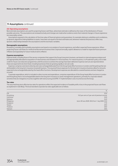# **9 Assumptions** continued

### **(iii) Operating assumptions**

Best estimate assumptions are used for projecting future cash flows, where best estimate is defined as the mean of the distribution of future possible outcomes. The assumptions are reviewed actively and changes are made when evidence exists that material changes in future experience are reasonably certain.

Assumptions required in the calculation of the time value of financial options and guarantees, for example relating to volatilities and correlations, or dynamic algorithms linking liabilities to assets, have been set equal to the best estimates and, wherever material and practical, reflect any dynamic relationships between the assumptions and the stochastic variables.

### **Demographic assumptions**

Persistency, mortality and morbidity assumptions are based on an analysis of recent experience, and reflect expected future experience. When projecting future cash flows for medical reimbursement business that is repriced annually, explicit allowance is made for expected future premium inflation and separately for future medical claims inflation.

### **Expense assumptions**

Expense levels, including those of the service companies that support the Group's long-term business, are based on internal expense analysis and are appropriately allocated to acquisition of new business and renewal of in-force business. For mature business, it is Prudential's policy not to take credit for future cost reduction programmes until the actions to achieve the savings have been delivered. Expense overruns are reported where these are expected to be short-lived, including businesses that are growing rapidly or are sub-scale.

Expenses comprise costs borne directly and costs recharged/allocated from the Group head office functions in London and Hong Kong that are attributable to the long-term insurance (covered) business. The assumed future expenses for the long-term insurance business allow for amounts expected to be recharged/allocated by the head office functions. Development expenses are allocated to covered business and are charged as incurred.

Corporate expenditure, which is included in other income and expenditure, comprises expenditure of the Group head office functions in London and Hong Kong that is not recharged/allocated to the long-term insurance or asset management operations, primarily for corporate related activities that are charged as incurred, together with restructuring and IFRS 17 implementation costs incurred across the Group.

### **Tax rates**

The assumed long-term effective tax rates for operations reflect the expected incidence of taxable profit or loss in the projected future cash flows as explained in note 8(i)(j). The local standard corporate tax rates applicable are as follows:

|             | $\%$                                             |
|-------------|--------------------------------------------------|
| <b>CPL</b>  | 25.0                                             |
| Hong Kong   | 16.5 per cent on 5 per cent of premium income    |
| Indonesia   | 22.0                                             |
| Malaysia    | 24.0                                             |
| Philippines | Up to 30 June 2020: 30.0; from 1 July 2020: 25.0 |
| Singapore   | 17.0                                             |
| Taiwan      | 20.0                                             |
| Thailand    | 20.0                                             |
| Vietnam     | 20.0                                             |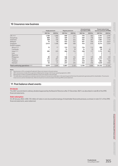# **10 Insurance new business**

|                                      | Single premiums |                          | Regular premiums |                          | Annual premium<br>equivalents (APE) |                          | <b>Present value of new</b><br>business premiums (PVNBP) |          |
|--------------------------------------|-----------------|--------------------------|------------------|--------------------------|-------------------------------------|--------------------------|----------------------------------------------------------|----------|
|                                      | 2021 \$m        | 2020 \$m                 | 2021 \$m         | 2020\$m                  | 2021 \$m                            | 2020 \$m                 | 2021 \$m                                                 | 2020 \$m |
| $\mathsf{CPL}$ note (a)              | 1,760           | 1,068                    | 600              | 475                      | 776                                 | 582                      | 3,761                                                    | 2,705    |
| Hong Kong                            | 808             | 184                      | 469              | 741                      | 550                                 | 758                      | 4,847                                                    | 5,095    |
| Indonesia                            | 258             | 226                      | 226              | 244                      | 252                                 | 267                      | 1,067                                                    | 1,154    |
| Malaysia                             | 74              | 90                       | 453              | 337                      | 461                                 | 346                      | 2,137                                                    | 2,023    |
| Singapore                            | 2,412           | 1,496                    | 502              | 460                      | 743                                 | 610                      | 6,214                                                    | 5,354    |
| Growth markets:                      |                 |                          |                  |                          |                                     |                          |                                                          |          |
| Africa <sup>note (b)</sup>           | 15              | 17                       | 133              | 110                      | 134                                 | 112                      | 288                                                      |          |
| Cambodia                             | -               |                          | 14               | 10                       | 14                                  | 10                       | 59                                                       | 45       |
| India <sup>note (c)</sup>            | 285             | 225                      | 200              | 154                      | 228                                 | 177                      | 1,172                                                    | 902      |
| Laos                                 | -               | $\qquad \qquad -$        | 1                | $\overline{ }$           |                                     |                          | $\overline{2}$                                           | 3        |
| Myanmar                              | -               | $\overline{\phantom{m}}$ |                  | $\overline{\phantom{m}}$ | 1                                   | $\overline{\phantom{m}}$ | 3                                                        |          |
| Philippines                          | 89              | 49                       | 168              | 134                      | 177                                 | 139                      | 655                                                      | 528      |
| Taiwan                               | 172             | 201                      | 379              | 367                      | 397                                 | 387                      | 1,417                                                    | 1,445    |
| Thailand                             | 142             | 122                      | 204              | 171                      | 218                                 | 183                      | 882                                                      | 768      |
| Vietnam                              | 55              | 21                       | 237              | 234                      | 242                                 | 236                      | 1,649                                                    | 1,564    |
| Total continuing operations note (d) | 6,070           | 3,699                    | 3,587            | 3,438                    | 4,194                               | 3,808                    | 24,153                                                   | 21,587   |

# **Notes**<br>(a)

(a) New business in CPL is included at Prudential's 50 per cent interest in the joint venture.<br>(b) 2021 new business includes Africa operations following the change in the Group's ope

(b) 2021 new business includes Africa operations following the change in the Group's operating segments in 2021.

New business in India is included at Prudential's 22 per cent interest in the associate.

(d) The table above is provided as an indicative volume measure of transactions undertaken in the reporting period that have the potential to generate profit for shareholders. The amounts shown are not, and not intended to be, reflective of premium income recorded in the Group IFRS income statement.

# **11 Post balance sheet events**

### **Dividends**

The 2021 second interim ordinary dividend approved by the Board of Directors after 31 December 2021 is as described in note B5 of the IFRS financial statements.

### **Debt redemption**

On 20 January 2022, US\$1,725 million of notes in core structural borrowings of shareholder-financed businesses, as shown in note C5.1 of the IFRS financial statements, were redeemed.

**Group overview**

Group overview

**Strategic report**

**Governance**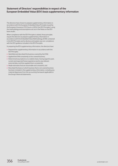# **Statement of Directors' responsibilities in respect of the European Embedded Value (EEV) basis supplementary information**

The directors have chosen to prepare supplementary information in accordance with the European Embedded Value Principles issued by the European Insurance CFO Forum in 2016 ('the EEV Principles') using the methodology and assumptions set out in the Notes on the EEV basis results.

When compliance with the EEV Principles is stated, those principles require the directors to prepare supplementary information in accordance with the Embedded Value Methodology (EVM) contained in the EEV Principles and to disclose and explain any non-compliance with the EEV guidance included in the EEV Principles.

In preparing the EEV supplementary information, the directors have:

- **>** Prepared the supplementary information in accordance with the EEV Principles;
- **>** Identified and described the business covered by the EVM;
- **>** Applied the EVM consistently to the covered business;
- **>** Determined assumptions on a realistic basis, having regard to past, current and expected future experience and to any relevant external data, and then applied them consistently;
- **>** Made estimates that are reasonable and consistent; and
- **>** Described the basis on which business that is not covered business has been included in the supplementary information, including any material departures from the accounting framework applicable to the Group's financial statements.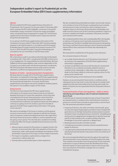# **Independent auditor's report to Prudential plc on the European Embedded Value (EEV) basis supplementary information**

### **Opinion**

We have audited the EEV basis supplementary information of Prudential plc ('the Company') for the year ended 31 December 2021 which comprise the EEV results highlights, movement in Group EEV shareholders' equity, movement in Group free surplus and related notes, including the basis of preparation on page 335. The EEV basis supplementary information should be read in conjunction with the Group financial statements.

In our opinion, the EEV basis supplementary information of the Company for the year ended 31 December 2021 has been properly prepared, in all material respects, in accordance with the European Embedded Value Principles issued by the European Insurance CFO Forum in 2016 ('the EEV Principles') using the methodology and assumptions set out in the Notes on the EEV basis results.

### **Basis for opinion**

We conducted our audit in accordance with International Standards on Auditing (UK) ("ISAs (UK)"), including ISA (UK) 800, and the terms of our engagement. Our responsibilities are described below. We have fulfilled our ethical responsibilities under, and are independent of the Company in accordance with, UK ethical requirements including the FRC Ethical Standard. We believe that the audit evidence we have obtained is a sufficient and appropriate basis for our opinion.

### **Emphasis of matter – special purpose basis of preparation**

We draw attention to page 335 of the EEV basis supplementary information. As explained on that page, the EEV basis supplementary information is prepared to provide additional information to users of the Group financial statements. As a result, the EEV basis supplementary information may not be suitable for another purpose. Our opinion is not modified in respect of this matter.

### **Going Concern**

The Directors have prepared the EEV basis supplementary information on the going concern basis as they do not intend to liquidate the Group or to cease their operations, and as they have concluded that the Group's financial position means that this is realistic. They have also concluded that there are no material uncertainties that could have cast significant doubt over their ability to continue as a going concern for at least a year from the date of approval of the EEV basis supplementary information ("the going concern period").

We used our knowledge of the Group, its industry, and the general economic environment in which it operates to identify the inherent risks to its business model and analysed how those risks might affect the Group's financial resources or ability to continue operations over the going concern period. The risks that were considered most likely to adversely affect the Group's available financial resources over this period were:

- **>** Adverse impacts arising from fluctuations or negative trends in the economic environment which affect the valuations of the Group's investments, wider credit spreads and defaults and valuation of EEV shareholders' equity due to the impact of these market movements;
- **>** The impact on regulatory capital solvency margins from movements in interest rates; and
- **>** Severely adverse policyholder lapse or claims experience.

We also considered less predictable but realistic second order impacts, such as failure of some of the Group's counterparties (such as banks and reinsurers) to meet commitments, which could give rise to a negative impact on the Group's financial position and liquidity, and wider economic factors such as the Coronavirus pandemic's impact on economic volatility and market uncertainty in the period, and other such macroeconomic events.

We considered whether these risks could plausibly affect the liquidity or solvency in the going concern period by assessing the Directors' sensitivities over the level of available financial resources indicated by the Group's cash flow forecasts taking account of severe but plausible adverse effects that could arise from these risks individually and collectively.

We assessed the completeness of the going concern disclosure.

Our conclusions based on this work:

- **>** we consider that the directors' use of the going concern basis of accounting in the preparation of the EEV basis supplementary information is appropriate;
- **>** we have not identified, and concur with the directors' assessment that there is not, a material uncertainty related to events or conditions that, individually or collectively, may cast significant doubt on the Group's ability to continue as a going concern for the going concern period; and
- **>** we found the going concern disclosure to be acceptable.

However, as we cannot predict future events or conditions and as subsequent events may result in outcomes that are inconsistent with judgements that were reasonable at the time they were made, the above conclusions are not a guarantee that the Group will continue in operation.

### **Fraud and breaches of laws and regulations – ability to detect Identifying and responding to risks of material misstatement due to fraud**

To identify risks of material misstatement due to fraud ("fraud risks") we assessed events or conditions that could indicate an incentive or pressure to commit fraud or provide an opportunity to commit fraud. Our risk assessment procedures included:

- **>** Enquiring of directors, the audit committee, internal audit, group security, and inspecting key papers provided to those charged with governance as to the high-level policies and procedures to prevent and detect fraud, including the Group's channel for "whistleblowing" and process for engaging local management to identify fraud risks specific to their business units, as well as whether they have knowledge of any actual, suspected, or alleged fraud.
- **>** Reading board and audit committee minutes.
- **>** Considering remuneration incentive schemes and performance targets for directors.
- **>** Consulted with professionals with forensic knowledge to assist us in identifying fraud risks based on discussions of the circumstances of the Group.

We communicated identified fraud risks throughout the audit team and remained alert to any indications of fraud throughout the audit. This included communication from the group team to all component audit teams in scope of relevant fraud risks identified at the Group level and requests to these audit teams to report to the Group audit team any instances of fraud that could give rise to a material misstatement at group.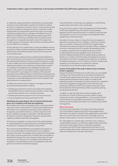As required by auditing standards, and taking into account possible pressures to meet profit targets, we perform procedures to address the risks of management override of controls, in particular the risk that group and component management may be in a position to make inappropriate accounting entries and the risk of bias in accounting estimates and judgements. Accordingly, we identified a fraud risk related to the selection of EEV operating assumptions given their direct impact on the Group's embedded value, the opportunity for management to manipulate assumptions due to the subjectivity involved and given the long-term nature of these assumptions which are more difficult to corroborate.

On this audit we do not consider there is a fraud risk related to revenue recognition as there is limited management judgement involved in the determination of all material revenue streams as the amounts are contractually derived.

In determining the audit procedures to address the identified fraud risks, we took into account the results of our evaluation and testing of the operating effectiveness of the group-wide anti-fraud risk controls. In order to address the risk of fraud specifically as it relates to the EEV operating assumptions, we involved actuarial specialists to assist in our challenge of management. We challenged management in relation to the selection of assumptions and the appropriateness of the rationale for any changes, the consistency of the selected assumptions across different aspects of the financial reporting process and comparison to our understanding of the product portfolio, trends in experience, policyholder behaviour and economic conditions and also by reference to market practice.

To address the pervasive risk as it relates to management override, we also performed procedures including:

- **>** Identifying journal entries based on risk criteria and comparing the identified entries to supporting documentation. These include journal entries related to non-recurring transactions.
- **>** Evaluating the business purpose of non-recurring transactions.
- **>** Assessing significant accounting estimates for bias.

### **Identifying and responding to risks of material misstatement due to non-compliance with laws and regulations**

We identified areas of laws and regulations that could reasonably be expected to have a material effect on the EEV basis supplementary information from our general commercial and sector experience, through discussion with the directors, and from inspection of the Group's regulatory and legal correspondence. We discussed with the directors and other management the policies and procedures regarding compliance with laws and regulation.

As the Group is regulated, our assessment of risks involved gaining an understanding of the control environment including the entity's procedures for complying with regulatory requirements.

We communicated identified laws and regulations throughout our team and remained alert to any indications of non-compliance throughout the audit. This included communication from the group to all in-scope component audit teams of relevant laws and regulations identified at the group level, and a request for these teams to report to the group any instances of non-compliance with said laws and regulations, or any identified local laws and regulations, that could give rise to a material misstatement at group.

The potential effect of these laws and regulations on the EEV basis supplementary information varies considerably.

Firstly, the Group is subject to laws and regulations that directly affect the EEV basis supplementary information including taxation legislation and we assessed the extent of compliance with these laws and regulations as part of our procedures on the related EEV basis supplementary information items.

Secondly, the Group is subject to many other laws and regulations where the consequences of non-compliance could have a material effect on amounts or disclosures in the EEV basis supplementary information, for instance through the imposition of fines or litigation or the loss of the Group's licence to operate. We identified the area of regulatory capital as that most likely to have such an effect recognising the financial and regulated nature of the Group's activities. Auditing standards limit the required audit procedures to identify non-compliance with these laws and regulations to enquiry of the directors and other management and inspection of regulatory and legal correspondence, if any. Therefore, if a breach of operational regulations is not disclosed to us or evident from relevant correspondence, an audit will not detect that breach.

### **Context of the ability of the audit to detect fraud or breaches of law or regulation**

Owing to the inherent limitations of an audit, there is an unavoidable risk that we may not have detected some material misstatements in the EEV basis supplementary information, even though we have properly planned and performed our audit in accordance with auditing standards. For example, the further removed non-compliance with laws and regulations (irregularities) is from the events and transactions reflected in the EEV basis supplementary information, the less likely the inherently limited procedures required by auditing standards would identify it.

In addition, as with any audit, there remained a higher risk of non-detection of fraud, as these may involve collusion, forgery, intentional omissions, misrepresentations, or the override of internal controls. We are not responsible for preventing non-compliance or fraud and cannot be expected to detect non-compliance with all laws and regulations.

### **Other information**

The directors are responsible for the other information presented in the Annual Report together with the EEV basis supplementary information. Our opinion on the EEV basis supplementary information does not cover the other information and, accordingly, we do not express an audit opinion or any form of assurance conclusion thereon.

Our responsibility is to read the other information and, in doing so, consider whether, based on our EEV basis supplementary information audit work, the information therein is materially misstated or inconsistent with the EEV basis supplementary information or our audit knowledge. Based solely on that work, we have not identified material misstatements in the other information.